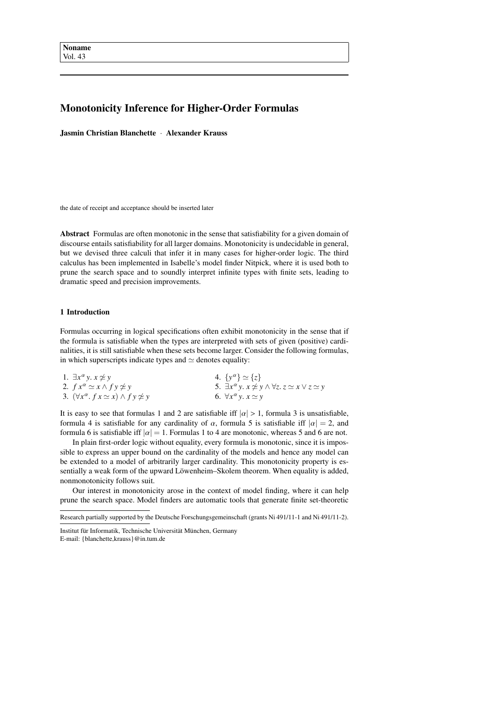# Monotonicity Inference for Higher-Order Formulas

Jasmin Christian Blanchette · Alexander Krauss

the date of receipt and acceptance should be inserted later

Abstract Formulas are often monotonic in the sense that satisfiability for a given domain of discourse entails satisfiability for all larger domains. Monotonicity is undecidable in general, but we devised three calculi that infer it in many cases for higher-order logic. The third calculus has been implemented in Isabelle's model finder Nitpick, where it is used both to prune the search space and to soundly interpret infinite types with finite sets, leading to dramatic speed and precision improvements.

# 1 Introduction

Formulas occurring in logical specifications often exhibit monotonicity in the sense that if the formula is satisfiable when the types are interpreted with sets of given (positive) cardinalities, it is still satisfiable when these sets become larger. Consider the following formulas, in which superscripts indicate types and  $\simeq$  denotes equality:

| 1. $\exists x^{\alpha} y. x \neq y$                                              | 4. $\{y^{\alpha}\}\simeq \{z\}$                                                 |
|----------------------------------------------------------------------------------|---------------------------------------------------------------------------------|
| 2. $f x^{\alpha} \simeq x \wedge f y \not\simeq y$                               | 5. $\exists x^{\alpha} y. x \neq y \land \forall z. z \simeq x \lor z \simeq y$ |
| 3. $(\forall x^{\alpha} \cdot f \cdot x \simeq x) \wedge f \cdot y \not\simeq y$ | 6. $\forall x^{\alpha} y. x \simeq y$                                           |
|                                                                                  |                                                                                 |

It is easy to see that formulas 1 and 2 are satisfiable iff  $|\alpha| > 1$ , formula 3 is unsatisfiable, formula 4 is satisfiable for any cardinality of  $\alpha$ , formula 5 is satisfiable iff  $|\alpha| = 2$ , and formula 6 is satisfiable iff  $|\alpha| = 1$ . Formulas 1 to 4 are monotonic, whereas 5 and 6 are not.

In plain first-order logic without equality, every formula is monotonic, since it is impossible to express an upper bound on the cardinality of the models and hence any model can be extended to a model of arbitrarily larger cardinality. This monotonicity property is essentially a weak form of the upward Löwenheim–Skolem theorem. When equality is added, nonmonotonicity follows suit.

Our interest in monotonicity arose in the context of model finding, where it can help prune the search space. Model finders are automatic tools that generate finite set-theoretic

Research partially supported by the Deutsche Forschungsgemeinschaft (grants Ni 491/11-1 and Ni 491/11-2).

Institut für Informatik, Technische Universität München, Germany E-mail: {blanchette,krauss}@in.tum.de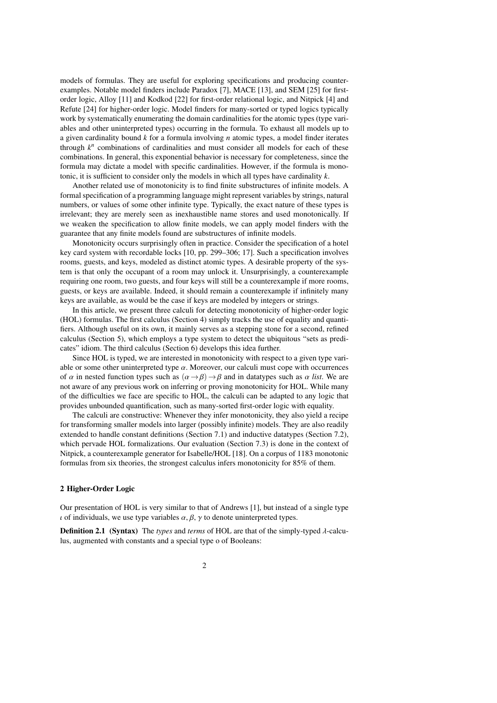models of formulas. They are useful for exploring specifications and producing counterexamples. Notable model finders include Paradox [7], MACE [13], and SEM [25] for firstorder logic, Alloy [11] and Kodkod [22] for first-order relational logic, and Nitpick [4] and Refute [24] for higher-order logic. Model finders for many-sorted or typed logics typically work by systematically enumerating the domain cardinalities for the atomic types (type variables and other uninterpreted types) occurring in the formula. To exhaust all models up to a given cardinality bound *k* for a formula involving *n* atomic types, a model finder iterates through  $k^n$  combinations of cardinalities and must consider all models for each of these combinations. In general, this exponential behavior is necessary for completeness, since the formula may dictate a model with specific cardinalities. However, if the formula is monotonic, it is sufficient to consider only the models in which all types have cardinality *k*.

Another related use of monotonicity is to find finite substructures of infinite models. A formal specification of a programming language might represent variables by strings, natural numbers, or values of some other infinite type. Typically, the exact nature of these types is irrelevant; they are merely seen as inexhaustible name stores and used monotonically. If we weaken the specification to allow finite models, we can apply model finders with the guarantee that any finite models found are substructures of infinite models.

Monotonicity occurs surprisingly often in practice. Consider the specification of a hotel key card system with recordable locks [10, pp. 299–306; 17]. Such a specification involves rooms, guests, and keys, modeled as distinct atomic types. A desirable property of the system is that only the occupant of a room may unlock it. Unsurprisingly, a counterexample requiring one room, two guests, and four keys will still be a counterexample if more rooms, guests, or keys are available. Indeed, it should remain a counterexample if infinitely many keys are available, as would be the case if keys are modeled by integers or strings.

In this article, we present three calculi for detecting monotonicity of higher-order logic (HOL) formulas. The first calculus (Section 4) simply tracks the use of equality and quantifiers. Although useful on its own, it mainly serves as a stepping stone for a second, refined calculus (Section 5), which employs a type system to detect the ubiquitous "sets as predicates" idiom. The third calculus (Section 6) develops this idea further.

Since HOL is typed, we are interested in monotonicity with respect to a given type variable or some other uninterpreted type  $\alpha$ . Moreover, our calculi must cope with occurrences of  $\alpha$  in nested function types such as  $(\alpha \rightarrow \beta) \rightarrow \beta$  and in datatypes such as  $\alpha$  *list*. We are not aware of any previous work on inferring or proving monotonicity for HOL. While many of the difficulties we face are specific to HOL, the calculi can be adapted to any logic that provides unbounded quantification, such as many-sorted first-order logic with equality.

The calculi are constructive: Whenever they infer monotonicity, they also yield a recipe for transforming smaller models into larger (possibly infinite) models. They are also readily extended to handle constant definitions (Section 7.1) and inductive datatypes (Section 7.2), which pervade HOL formalizations. Our evaluation (Section 7.3) is done in the context of Nitpick, a counterexample generator for Isabelle/HOL [18]. On a corpus of 1183 monotonic formulas from six theories, the strongest calculus infers monotonicity for 85% of them.

# 2 Higher-Order Logic

Our presentation of HOL is very similar to that of Andrews [1], but instead of a single type  $\iota$  of individuals, we use type variables  $\alpha$ ,  $\beta$ ,  $\gamma$  to denote uninterpreted types.

Definition 2.1 (Syntax) The *types* and *terms* of HOL are that of the simply-typed λ-calculus, augmented with constants and a special type o of Booleans: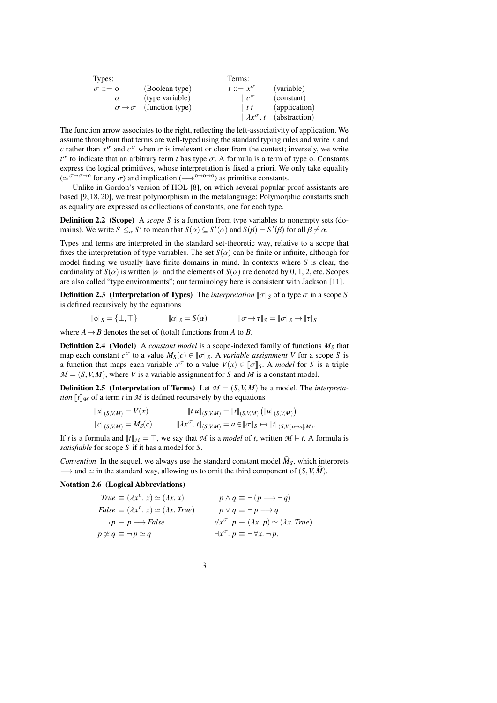| Types:         |                                             | Terms:             |                                                 |
|----------------|---------------------------------------------|--------------------|-------------------------------------------------|
| $\sigma ::= 0$ | (Boolean type)                              | $t ::= x^{\sigma}$ | (variable)                                      |
| $\alpha$       | (type variable)                             | $ c^{\sigma}$      | (constant)                                      |
|                | $\sigma \rightarrow \sigma$ (function type) | $\vert t \, t$     | (application)                                   |
|                |                                             |                    | $\int \lambda x^{\sigma} \cdot t$ (abstraction) |
|                |                                             |                    |                                                 |

The function arrow associates to the right, reflecting the left-associativity of application. We assume throughout that terms are well-typed using the standard typing rules and write *x* and *c* rather than  $x^{\sigma}$  and  $c^{\sigma}$  when  $\sigma$  is irrelevant or clear from the context; inversely, we write  $t^{\sigma}$  to indicate that an arbitrary term *t* has type  $\sigma$ . A formula is a term of type o. Constants express the logical primitives, whose interpretation is fixed a priori. We only take equality express the logical primitives, whose interpretation is fixed a priori. We only take equality  $(\simeq^{\sigma \to \sigma \to 0}$  for any  $\sigma$ ) and implication  $(\to^{\circ \to 0} \to 0)$  as primitive constants.<br>Linlike in Gordon's version of HOL [8] on which several popular r

Unlike in Gordon's version of HOL [8], on which several popular proof assistants are based [9, 18, 20], we treat polymorphism in the metalanguage: Polymorphic constants such as equality are expressed as collections of constants, one for each type.

**Definition 2.2** (Scope) A *scope S* is a function from type variables to nonempty sets (domains). We write  $S \leq_{\alpha} S'$  to mean that  $S(\alpha) \subseteq S'(\alpha)$  and  $S(\beta) = S'(\beta)$  for all  $\beta \neq \alpha$ .

Types and terms are interpreted in the standard set-theoretic way, relative to a scope that fixes the interpretation of type variables. The set  $S(\alpha)$  can be finite or infinite, although for model finding we usually have finite domains in mind. In contexts where *S* is clear, the cardinality of  $S(\alpha)$  is written |a| and the elements of  $S(\alpha)$  are denoted by 0, 1, 2, etc. Scopes are also called "type environments"; our terminology here is consistent with Jackson [11].

**Definition 2.3** (Interpretation of Types) The *interpretation*  $\llbracket \sigma \rrbracket_S$  of a type  $\sigma$  in a scope *S* is defined recursively by the equations

$$
[\![\sigma]\!]_S = \{\bot, \top\} \qquad [\![\alpha]\!]_S = S(\alpha) \qquad [\![\sigma \to \tau]\!]_S = [\![\sigma]\!]_S \to [\![\tau]\!]_S
$$

where  $A \rightarrow B$  denotes the set of (total) functions from *A* to *B*.

Definition 2.4 (Model) A *constant model* is a scope-indexed family of functions *M<sup>S</sup>* that map each constant  $c^{\sigma}$  to a value  $M_S(c) \in [\![\sigma]\!]_S$ . A *variable assignment V* for a scope *S* is a triple a function that maps each variable  $x^{\sigma}$  to a value  $V(x) \in [\![\sigma]\!]_S$ . A *model* for *S* is a triple  $M - (S \cup M)$  where *V* is a variable assignment for *S* and *M* is a constant model  $M = (S, V, M)$ , where *V* is a variable assignment for *S* and *M* is a constant model.

**Definition 2.5** (Interpretation of Terms) Let  $M = (S, V, M)$  be a model. The *interpretation*  $\llbracket t \rrbracket_M$  of a term *t* in *M* is defined recursively by the equations

| $[[x]]_{(S,V,M)} = V(x)$   | $[[t u]]_{(S, V, M)} = [[t]]_{(S, V, M)} ([u]]_{(S, V, M)})$                                                                                              |
|----------------------------|-----------------------------------------------------------------------------------------------------------------------------------------------------------|
| $[[c]]_{(S,V,M)} = M_S(c)$ | $\llbracket \lambda x^{\sigma}. t \rrbracket_{(S, V, M)} = a \in \llbracket \sigma \rrbracket_S \mapsto \llbracket t \rrbracket_{(S, V[x \mapsto a], M)}$ |

If *t* is a formula and  $[[t]]_{\mathcal{M}} = T$ , we say that *M* is a *model* of *t*, written  $\mathcal{M} \models t$ . A formula is *satisfiable* for scope *S* if it has a model for *S*.

*Convention* In the sequel, we always use the standard constant model  $\hat{M}_S$ , which interprets  $\rightarrow$  and  $\simeq$  in the standard way, allowing us to omit the third component of  $(S, V, \hat{M})$ .

# Notation 2.6 (Logical Abbreviations)

| $True \equiv (\lambda x^{\circ} \cdot x) \simeq (\lambda x \cdot x)$     | $p \wedge q \equiv \neg (p \longrightarrow \neg q)$                                   |
|--------------------------------------------------------------------------|---------------------------------------------------------------------------------------|
| $False \equiv (\lambda x^{\circ} \cdot x) \simeq (\lambda x \cdot True)$ | $p \vee q \equiv \neg p \longrightarrow q$                                            |
| $\neg p \equiv p \longrightarrow False$                                  | $\forall x^{\sigma} \cdot p \equiv (\lambda x \cdot p) \simeq (\lambda x \cdot True)$ |
| $p \not\cong q \equiv \neg p \simeq q$                                   | $\exists x^{\sigma} \cdot p \equiv \neg \forall x \cdot \neg p.$                      |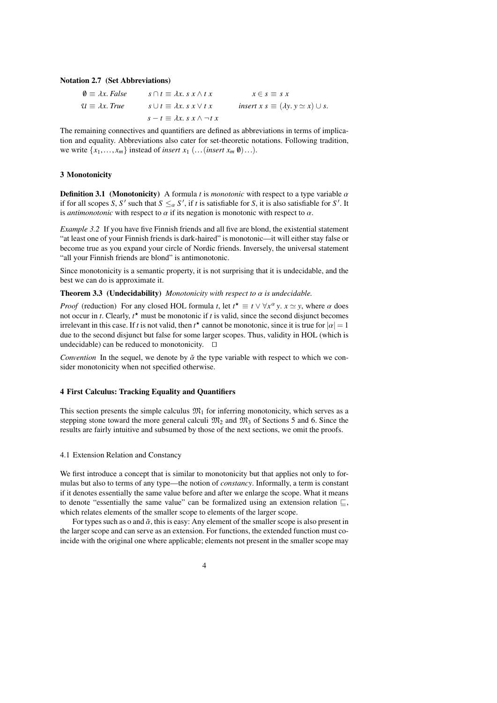# Notation 2.7 (Set Abbreviations)

$$
\emptyset \equiv \lambda x. \text{ False} \qquad s \cap t \equiv \lambda x. \ s \times \land t \ x \qquad x \in s \equiv s \ x
$$
\n
$$
\mathcal{U} \equiv \lambda x. \text{ True} \qquad s \cup t \equiv \lambda x. \ s \times \lor t \ x \qquad \text{insert } x \ s \equiv (\lambda y. \ y \simeq x) \cup s.
$$
\n
$$
s - t \equiv \lambda x. \ s \times \land \neg t \ x
$$

The remaining connectives and quantifiers are defined as abbreviations in terms of implication and equality. Abbreviations also cater for set-theoretic notations. Following tradition, we write  $\{x_1, \ldots, x_m\}$  instead of *insert*  $x_1$  (...(*insert*  $x_m$   $\emptyset$ )...).

#### 3 Monotonicity

**Definition 3.1** (Monotonicity) A formula *t* is *monotonic* with respect to a type variable  $\alpha$ if for all scopes *S*, *S'* such that  $S \leq_{\alpha} S'$ , if *t* is satisfiable for *S*, it is also satisfiable for *S'*. It is *antimonotonic* with respect to  $\alpha$  if its negation is monotonic with respect to  $\alpha$ .

*Example 3.2* If you have five Finnish friends and all five are blond, the existential statement "at least one of your Finnish friends is dark-haired" is monotonic—it will either stay false or become true as you expand your circle of Nordic friends. Inversely, the universal statement "all your Finnish friends are blond" is antimonotonic.

Since monotonicity is a semantic property, it is not surprising that it is undecidable, and the best we can do is approximate it.

# Theorem 3.3 (Undecidability) *Monotonicity with respect to* α *is undecidable.*

*Proof* (reduction) For any closed HOL formula *t*, let  $t^* \equiv t \vee \forall x^a y$ ,  $x \simeq y$ , where  $\alpha$  does not occur in *t*. Clearly  $t^*$  must be monotonic if *t* is valid, since the second disjunct becomes not occur in *t*. Clearly,  $t^*$  must be monotonic if *t* is valid, since the second disjunct becomes irrelevant in this case. If *t* is not valid, then  $t^*$  cannot be monotonic, since it is true for  $|\alpha| = 1$ <br>due to the second disjunct but false for some larger scopes. Thus, validity in HOL (which is due to the second disjunct but false for some larger scopes. Thus, validity in HOL (which is undecidable) can be reduced to monotonicity.  $\square$ 

*Convention* In the sequel, we denote by  $\tilde{\alpha}$  the type variable with respect to which we consider monotonicity when not specified otherwise.

### 4 First Calculus: Tracking Equality and Quantifiers

This section presents the simple calculus  $\mathfrak{M}_1$  for inferring monotonicity, which serves as a stepping stone toward the more general calculi  $\mathfrak{M}_2$  and  $\mathfrak{M}_3$  of Sections 5 and 6. Since the results are fairly intuitive and subsumed by those of the next sections, we omit the proofs.

# 4.1 Extension Relation and Constancy

We first introduce a concept that is similar to monotonicity but that applies not only to formulas but also to terms of any type—the notion of *constancy*. Informally, a term is constant if it denotes essentially the same value before and after we enlarge the scope. What it means to denote "essentially the same value" can be formalized using an extension relation  $\sqsubseteq$ , which relates elements of the smaller scope to elements of the larger scope.

For types such as o and  $\tilde{\alpha}$ , this is easy: Any element of the smaller scope is also present in the larger scope and can serve as an extension. For functions, the extended function must coincide with the original one where applicable; elements not present in the smaller scope may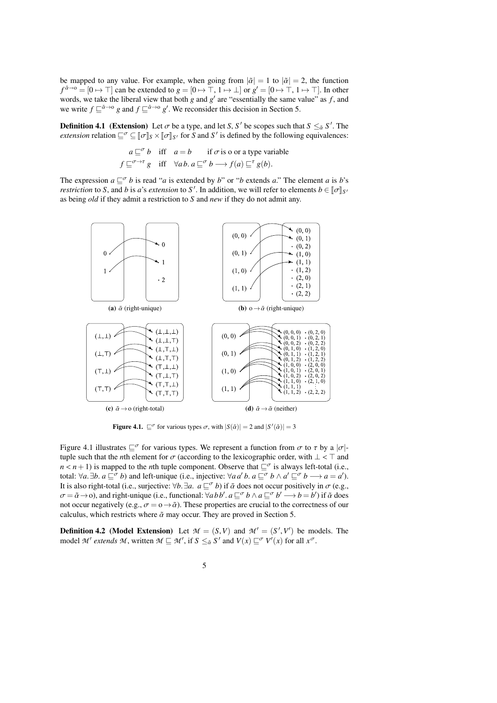be mapped to any value. For example, when going from  $|\tilde{\alpha}| = 1$  to  $|\tilde{\alpha}| = 2$ , the function  $f^{\tilde{a}\to 0} = [0 \to \top]$  can be extended to  $g = [0 \to \top, 1 \to \bot]$  or  $g' = [0 \to \top, 1 \to \top]$ . In other<br>words, we take the liberal view that both *g* and *g'* are "essentially the same value" as *f* and words, we take the liberal view that both  $g$  and  $g'$  are "essentially the same value" as  $f$ , and we write  $f \sqsubseteq^{\tilde{\alpha} \to 0} g$  and  $f \sqsubseteq^{\tilde{\alpha} \to 0} g'$ . We reconsider this decision in Section 5.

**Definition 4.1** (Extension) Let  $\sigma$  be a type, and let *S*, *S'* be scopes such that  $S \leq_{\tilde{\alpha}} S'$ . The extension relation  $\Box^{\sigma} \subset \Box \Box^{\sigma}$ ,  $\Box^{\sigma}$  of  $S$  and  $S'$  is defined by the following equivalences: *extension* relation  $\sqsubseteq^{\sigma} \subseteq [\![\sigma]\!]_S \times [\![\sigma]\!]_S$  for *S* and *S*<sup>*i*</sup> is defined by the following equivalences:

$$
a \sqsubseteq^{\sigma} b
$$
 iff  $a = b$  if  $\sigma$  is o or a type variable  
 $f \sqsubseteq^{\sigma \to \tau} g$  iff  $\forall ab. a \sqsubseteq^{\sigma} b \longrightarrow f(a) \sqsubseteq^{\tau} g(b)$ .

The expression  $a \sqsubset^{\sigma} b$  is read "*a* is extended by *b*" or "*b* extends *a*." The element *a* is *b*'s *restriction* to *S*, and *b* is *a*'s *extension* to *S'*. In addition, we will refer to elements  $b \in [\![\sigma]\!]_S$ <sup>*n*</sup> as being *old* if they admit a restriction to *S* and *new* if they do not admit any.



**Figure 4.1.**  $\sqsubseteq^{\sigma}$  for various types  $\sigma$ , with  $|S(\tilde{\alpha})| = 2$  and  $|S'(\tilde{\alpha})| = 3$ 

Figure 4.1 illustrates  $\Box^{\sigma}$  for various types. We represent a function from  $\sigma$  to  $\tau$  by a  $|\sigma|$ tuple such that the *n*th element for  $\sigma$  (according to the lexicographic order, with  $\perp$  <  $\top$  and  $\overline{n}$  <  $n+1$ ) is mapped to the *n*th tuple component. Observe that  $\overline{\sqsubset}^{\sigma}$  is always left-total (i.e., total:  $\forall a \exists b, a \sqsubseteq^{\sigma} b$  and left-unique (i.e., injective:  $\forall a \, a' \, b, a \sqsubseteq^{\sigma} b \land a' \sqsubseteq^{\sigma} b \longrightarrow a = a'$ ).<br>It is also right-total (i.e., surjective:  $\forall b \exists a, a \sqsubset^{\sigma} b$ ) if  $\tilde{a}$  does not occur positively in  $\sigma$  (e.g. It is also right-total (i.e., surjective:  $\forall b$ . $\exists a$ .  $a \sqsubseteq^{\sigma} b$ ) if  $\tilde{a}$  does not occur positively in  $\sigma$  (e.g.,  $\sigma = \tilde{\alpha} \rightarrow \infty$ ), and right-unique (i.e., functional:  $\forall a b b'$ .  $a \sqsubseteq^{\sigma} b \land a \sqsubseteq^{\sigma} b' \longrightarrow b = b'$ ) if  $\tilde{\alpha}$  does not occur negatively (e.g.,  $\sigma = \sigma \rightarrow \tilde{\alpha}$ ). These properties are crucial to the correctness of our calculus, which restricts where  $\tilde{\alpha}$  may occur. They are proved in Section 5.

**Definition 4.2** (Model Extension) Let  $\mathcal{M} = (S, V)$  and  $\mathcal{M}' = (S', V')$  be models. The model  $\mathcal{M}'$  extends  $\mathcal{M}$  written  $\mathcal{M} \sqsubset \mathcal{M}'$  if  $S \le S'$  and  $V(x) \sqsubset \mathcal{M}'(x)$  for all  $x^{\sigma}$ model *M'* extends *M*, written  $M \sqsubseteq M'$ , if  $S \leq_{\tilde{\alpha}} S'$  and  $V(x) \sqsubseteq^{\sigma} V'(x)$  for all  $x^{\sigma}$ .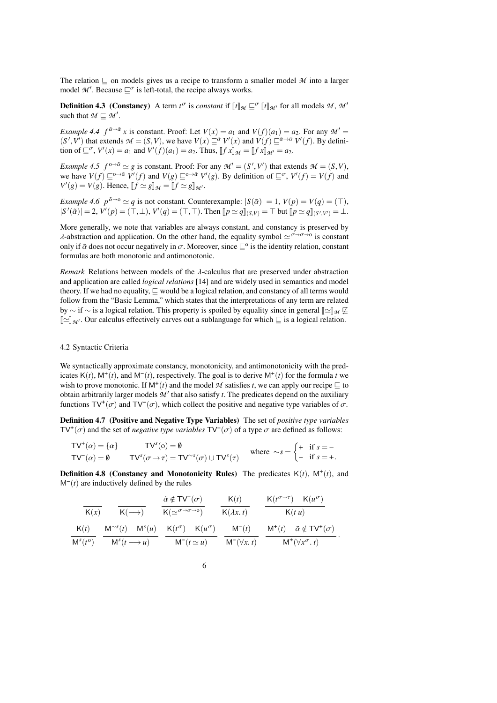The relation  $\subseteq$  on models gives us a recipe to transform a smaller model M into a larger model  $M'$ . Because  $\sqsubseteq^{\sigma}$  is left-total, the recipe always works.

**Definition 4.3** (Constancy) A term  $t^{\sigma}$  is *constant* if  $[[t]]_{\mathcal{M}} \sqsubseteq^{\sigma} [[t]]_{\mathcal{M}'}$  for all models  $\mathcal{M}, \mathcal{M}'$ such that  $M \sqsubseteq M'$ .

*Example 4.4*  $f^{\tilde{a} \to \tilde{\alpha}} x$  is constant. Proof: Let  $V(x) = a_1$  and  $V(f)(a_1) = a_2$ . For any  $M' =$  $(S', V')$  that extends  $\mathcal{M} = (S, V)$ , we have  $V(x) \sqsubseteq^{\tilde{\alpha}} V'(x)$  and  $V(f) \sqsubseteq^{\tilde{\alpha} \to \tilde{\alpha}} V'(f)$ . By definition of  $\sqsubset^{\sigma} V'(x) = a_1$  and  $V'(f)(a_1) = a_2$ . Thus  $\llbracket f \lor \rrbracket_{\alpha'} = \llbracket f \lor \rrbracket_{\alpha'} = a_2$ . tion of  $\subseteq^{\sigma}$ ,  $V'(x) = a_1$  and  $V'(f)(a_1) = a_2$ . Thus,  $[[f \, x]]_{\mathcal{M}} = [[f \, x]]_{\mathcal{M}'} = a_2$ .

*Example 4.5*  $f^{0\to \tilde{\alpha}} \simeq g$  is constant. Proof: For any  $\mathcal{M}' = (S', V')$  that extends  $\mathcal{M} = (S, V)$ , we have  $V(f) \sqsubset 0 \to \tilde{\alpha}$   $V'(f)$  and  $V(\alpha) \sqsubset 0 \to \tilde{\alpha}$   $V'(\alpha)$ . By definition of  $\sqsubset^{\sigma} V'(f) = V(f)$  and we have  $V(f) \sqsubseteq^{\Omega \to \tilde{\alpha}} V'(f)$  and  $V(g) \sqsubseteq^{\Omega \to \tilde{\alpha}} V'(g)$ . By definition of  $\sqsubseteq^{\sigma}$ ,  $V'(f) = V(f)$  and  $V'(g) = V(g)$ . Hence,  $\llbracket f \simeq g \rrbracket_{\mathcal{M}} = \llbracket f \simeq g \rrbracket_{\mathcal{M}}$ .

*Example 4.6*  $p^{\tilde{a} \to 0} \simeq q$  is not constant. Counterexample:  $|S(\tilde{a})| = 1$ ,  $V(p) = V(q) = (\top)$ ,  $|S'(\tilde{a})| = 2$ ,  $V'(p) = (\top + 1)$ ,  $V'(q) = (\top + 1)$ . Then  $\ln q \sim q \ln q$ ,  $q = \top$  but  $\ln q \sim q \ln q$ ,  $q = 1$ .  $|S'(\tilde{\alpha})| = 2$ ,  $V'(p) = (\top, \bot)$ ,  $V'(q) = (\top, \top)$ . Then  $[ p \simeq q]_{(S,V)} = \top$  but  $[ p \simeq q]_{(S',V')} = \bot$ .

More generally, we note that variables are always constant, and constancy is preserved by λ-abstraction and application. On the other hand, the equality symbol  $\cong^{\sigma \to \sigma \to 0}$  is constant<br>only if  $\tilde{\sigma}$  does not occur negatively in  $\sigma$ . Moreover, since  $\Gamma^0$  is the identity relation, constant only if  $\tilde{\alpha}$  does not occur negatively in  $\sigma$ . Moreover, since  $\sqsubseteq^{\circ}$  is the identity relation, constant formulas are both monotonic and antimonotonic formulas are both monotonic and antimonotonic.

*Remark* Relations between models of the  $\lambda$ -calculus that are preserved under abstraction and application are called *logical relations* [14] and are widely used in semantics and model theory. If we had no equality,  $\sqsubseteq$  would be a logical relation, and constancy of all terms would follow from the "Basic Lemma," which states that the interpretations of any term are related by ∼ if ∼ is a logical relation. This property is spoiled by equality since in general  $[\simeq]_M \not\sqsubseteq$  $[\![\simeq]\!]_{\mathcal{M}}$ . Our calculus effectively carves out a sublanguage for which  $\sqsubseteq$  is a logical relation.

# 4.2 Syntactic Criteria

We syntactically approximate constancy, monotonicity, and antimonotonicity with the predicates  $K(t)$ ,  $M^+(t)$ , and  $M^-(t)$ , respectively. The goal is to derive  $M^+(t)$  for the formula *t* we wish to prove monotonic. If  $M^+(t)$  and the model M satisfies *t*, we can apply our recipe  $\subseteq$  to obtain arbitrarily larger models  $M'$  that also satisfy  $t$ . The predicates depend on the auxiliary functions  $TV^+(\sigma)$  and  $TV^-(\sigma)$ , which collect the positive and negative type variables of  $\sigma$ .

Definition 4.7 (Positive and Negative Type Variables) The set of *positive type variables* TV<sup>+</sup>( $\sigma$ ) and the set of *negative type variables* TV<sup>-</sup>( $\sigma$ ) of a type  $\sigma$  are defined as follows:

$$
TV^{+}(\alpha) = \{\alpha\} \qquad TV^{s}(o) = \emptyset \qquad \text{where } \sim s = \begin{cases} + & \text{if } s = -\\ - & \text{if } s = +. \end{cases}
$$
\n
$$
TV^{-}(\alpha) = \emptyset \qquad TV^{s}(\sigma \to \tau) = TV^{\sim s}(\sigma) \cup TV^{s}(\tau) \qquad \text{where } \sim s = \begin{cases} + & \text{if } s = -\\ - & \text{if } s = +. \end{cases}
$$

**Definition 4.8** (Constancy and Monotonicity Rules) The predicates  $K(t)$ ,  $M^+(t)$ , and  $M^{-}(t)$  are inductively defined by the rules

$$
\frac{\kappa(x)}{\kappa(x)} \quad \frac{\tilde{\alpha} \notin TV^-(\sigma)}{\kappa(\omega \to)} \quad \frac{\tilde{\alpha} \notin TV^-(\sigma)}{\kappa(x \to \sigma)} \quad \frac{\kappa(t)}{\kappa(x \cdot t)} \quad \frac{\kappa(t^{\sigma \to \tau}) \quad \kappa(u^{\sigma})}{\kappa(u)} \n\frac{\kappa(t)}{\kappa(t)} \quad \frac{\kappa(t)}{\kappa(s \cdot t)} \quad \frac{\kappa(t^{\sigma \to \sigma})}{\kappa(t^{\sigma})} \quad \frac{\kappa(u^{\sigma \to \sigma})}{\kappa(t^{\sigma})} \quad \frac{\kappa(u^{\sigma \to \sigma})}{\kappa(t^{\sigma})} \quad \frac{\kappa(u^{\sigma \to \sigma})}{\kappa(t^{\sigma})} \quad \frac{\kappa(u^{\sigma \to \sigma})}{\kappa(t^{\sigma})} \quad \frac{\kappa(u^{\sigma \to \sigma})}{\kappa(t^{\sigma})} \quad \frac{\kappa(u^{\sigma \to \sigma})}{\kappa(t^{\sigma})} \quad \frac{\kappa(u^{\sigma \to \sigma})}{\kappa(t^{\sigma})} \quad \frac{\kappa(u^{\sigma \to \sigma})}{\kappa(t^{\sigma})} \quad \frac{\kappa(u^{\sigma \to \sigma})}{\kappa(t^{\sigma})} \quad \frac{\kappa(u^{\sigma \to \sigma})}{\kappa(t^{\sigma})} \quad \frac{\kappa(u^{\sigma \to \sigma})}{\kappa(t^{\sigma})} \quad \frac{\kappa(u^{\sigma \to \sigma})}{\kappa(t^{\sigma})} \quad \frac{\kappa(u^{\sigma \to \sigma})}{\kappa(t^{\sigma})} \quad \frac{\kappa(u^{\sigma \to \sigma})}{\kappa(t^{\sigma})} \quad \frac{\kappa(u^{\sigma \to \sigma})}{\kappa(t^{\sigma})} \quad \frac{\kappa(u^{\sigma \to \sigma})}{\kappa(t^{\sigma})} \quad \frac{\kappa(u^{\sigma \to \sigma})}{\kappa(t^{\sigma})} \quad \frac{\kappa(u^{\sigma \to \sigma})}{\kappa(t^{\sigma})} \quad \frac{\kappa(u^{\sigma \to \sigma})}{\kappa(t^{\sigma})} \quad \frac{\kappa(u^{\sigma \to \sigma})}{\kappa(t^{\sigma})} \quad \frac{\kappa(u^{\sigma \to \sigma})}{\kappa(t^{\sigma})} \quad \frac{\kappa(u^{\sigma \to \sigma})}{\kappa(t^{\sigma})} \quad \frac{\kappa(u^{\sigma \to \sigma
$$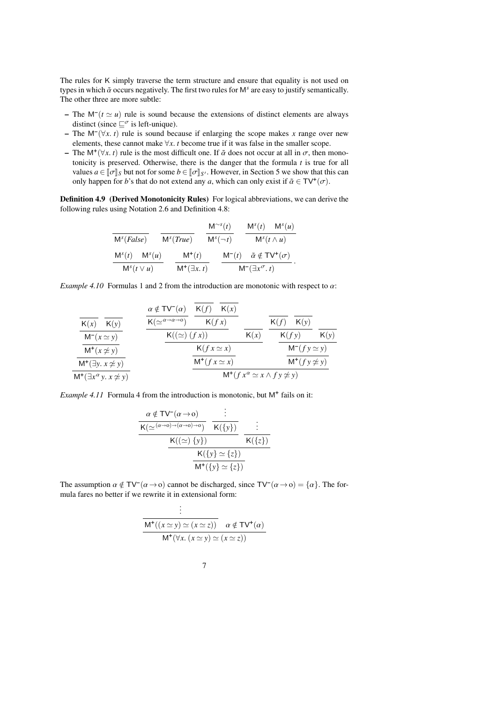The rules for K simply traverse the term structure and ensure that equality is not used on types in which  $\tilde{\alpha}$  occurs negatively. The first two rules for  $M^s$  are easy to justify semantically.<br>The other three are more subtle: The other three are more subtle:

- The  $M^{-}(t \simeq u)$  rule is sound because the extensions of distinct elements are always distinct (since  $\Box^{\sigma}$  is left-unique).
- The M<sup>–</sup>( $∀x, t$ ) rule is sound because if enlarging the scope makes *x* range over new elements these cannot make  $∀x, t$  become true if it was false in the smaller scope elements, these cannot make <sup>∀</sup>*x*. *<sup>t</sup>* become true if it was false in the smaller scope.
- The M<sup>+</sup> ( $\forall x$ . *t*) rule is the most difficult one. If  $\tilde{\alpha}$  does not occur at all in  $\sigma$ , then mono-<br>tonicity is preserved. Otherwise, there is the danger that the formula *t* is true for all tonicity is preserved. Otherwise, there is the danger that the formula *t* is true for all values  $a \in [\![\sigma]\!]_S$  but not for some  $b \in [\![\sigma]\!]_{S'}$ . However, in Section 5 we show that this can only happen for *b*'s that do not extend any *a* which can only exist if  $\tilde{\alpha} \in \text{TV}^+(\pi)$ only happen for *b*'s that do not extend any *a*, which can only exist if  $\tilde{\alpha} \in TV^+(\sigma)$ .

Definition 4.9 (Derived Monotonicity Rules) For logical abbreviations, we can derive the following rules using Notation 2.6 and Definition 4.8:

$$
\frac{\mathsf{M}^s(\mathit{False})}{\mathsf{M}^s(t) \mathsf{M}^s(u)} \quad \frac{\mathsf{M}^s(t)}{\mathsf{M}^s(-t)} \quad \frac{\mathsf{M}^s(t)}{\mathsf{M}^s(-t)} \quad \frac{\mathsf{M}^s(t) \mathsf{M}^s(u)}{\mathsf{M}^s(t \wedge u)} \\ \frac{\mathsf{M}^s(t) \mathsf{M}^s(u)}{\mathsf{M}^s(t \vee u)} \quad \frac{\mathsf{M}^t(t)}{\mathsf{M}^t(\exists x. t)} \quad \frac{\mathsf{M}^t(t) \mathsf{M}^s(u)}{\mathsf{M}^t(\exists x^{\sigma}, t)}.
$$

*Example 4.10* Formulas 1 and 2 from the introduction are monotonic with respect to α:

$$
\frac{\frac{\kappa(x)}{\kappa(y)}}{\frac{\mathsf{M}^{\bullet}(x \simeq y)}{\mathsf{M}^{\bullet}(x \simeq y)}} \qquad \frac{\frac{\alpha \notin \mathsf{TV}^{\bullet}(\alpha)}{\kappa(z^{\alpha \to \alpha \to 0})} \frac{\kappa(f) - \kappa(x)}{\kappa(fx)}}{\frac{\kappa((\simeq) (f x))}{\kappa(fx \simeq x)}}}{\frac{\kappa(f x \simeq x)}{\frac{\kappa(f x \simeq x)}{\kappa(fx \simeq x)}}}{\frac{\kappa(f x \simeq x)}{\frac{\kappa(f x \simeq x)}{\kappa(fx \simeq x)}}}{\frac{\kappa(f x \simeq x)}{\kappa(fx \simeq y)}}}{\frac{\kappa(f x \simeq x \simeq x \wedge f y \simeq y)}{\kappa(fx \simeq x \wedge f y \simeq y)}}
$$

*Example 4.11* Formula 4 from the introduction is monotonic, but M<sup>+</sup> fails on it:

$$
\frac{\alpha \notin TV^{-}(\alpha \to o)}{\frac{\mathsf{K}(\simeq^{(\alpha \to o) \to (\alpha \to o) \to o})}{\mathsf{K}(\simeq \{y\})} \cdot \frac{\mathsf{K}(\{y\})}{\mathsf{K}(\{z\})}}{\frac{\mathsf{K}(\{y\} \simeq \{z\})}{\mathsf{M}^{+}(\{y\} \simeq \{z\})}}
$$

The assumption  $\alpha \notin TV^{-}(\alpha \to o)$  cannot be discharged, since  $TV^{-}(\alpha \to o) = {\alpha}$ . The for-<br>mula fares no better if we rewrite it in extensional form: mula fares no better if we rewrite it in extensional form:

$$
\frac{\begin{array}{l}\n\vdots \\
\hline\nM^+((x \simeq y) \simeq (x \simeq z)) & \alpha \notin \text{TV}^+(\alpha) \\
\hline\nM^+(\forall x. (x \simeq y) \simeq (x \simeq z))\n\end{array}
$$

| -<br>. .<br>×. |  |
|----------------|--|
|                |  |
| ٦              |  |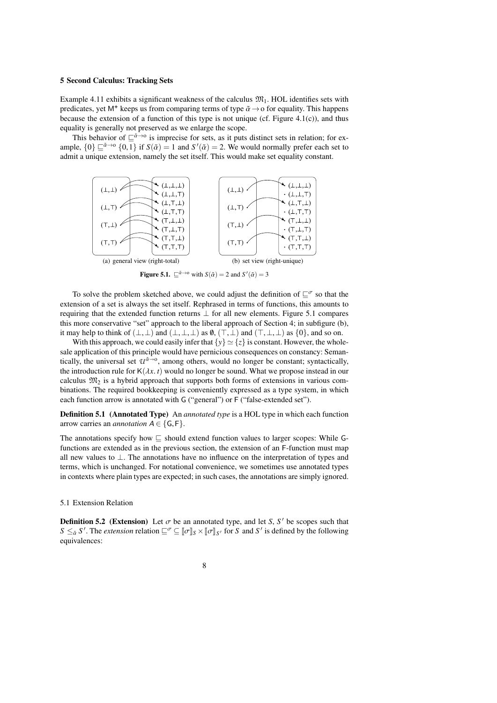### 5 Second Calculus: Tracking Sets

Example 4.11 exhibits a significant weakness of the calculus  $\mathfrak{M}_1$ . HOL identifies sets with predicates, yet M<sup>+</sup> keeps us from comparing terms of type  $\tilde{\alpha} \rightarrow$  o for equality. This happens because the extension of a function of this type is not unique (cf. Figure 4.1(c)), and thus equality is generally not preserved as we enlarge the scope.

This behavior of  $\Box^{\tilde{\alpha}\to 0}$  is imprecise for sets, as it puts distinct sets in relation; for example,  $\{0\} \sqsubseteq^{\tilde{\alpha}\to 0} \{0,1\}$  if  $S(\tilde{\alpha}) = 1$  and  $S'(\tilde{\alpha}) = 2$ . We would normally prefer each set to admit a unique extension namely the set itself. This would make set equality constant admit a unique extension, namely the set itself. This would make set equality constant.



To solve the problem sketched above, we could adjust the definition of  $\mathcal{L}^{\sigma}$  so that the extension of a set is always the set itself. Rephrased in terms of functions, this amounts to requiring that the extended function returns  $\perp$  for all new elements. Figure 5.1 compares this more conservative "set" approach to the liberal approach of Section 4; in subfigure (b), it may help to think of  $(\perp,\perp)$  and  $(\perp,\perp,\perp)$  as  $\emptyset$ ,  $(\top,\perp)$  and  $(\top,\perp,\perp)$  as  $\{0\}$ , and so on.

With this approach, we could easily infer that  $\{y\} \simeq \{z\}$  is constant. However, the wholesale application of this principle would have pernicious consequences on constancy: Semantically, the universal set  $\mathcal{U}^{\tilde{\alpha}\to 0}$ , among others, would no longer be constant; syntactically, the introduction rule for  $K(\lambda x, t)$  would no longer be sound. What we propose instead in our calculus  $\mathfrak{M}_2$  is a hybrid approach that supports both forms of extensions in various combinations. The required bookkeeping is conveniently expressed as a type system, in which each function arrow is annotated with G ("general") or F ("false-extended set").

Definition 5.1 (Annotated Type) An *annotated type* is a HOL type in which each function arrow carries an *annotation*  $A \in \{G, F\}$ .

The annotations specify how  $\Box$  should extend function values to larger scopes: While Gfunctions are extended as in the previous section, the extension of an F-function must map all new values to ⊥. The annotations have no influence on the interpretation of types and terms, which is unchanged. For notational convenience, we sometimes use annotated types in contexts where plain types are expected; in such cases, the annotations are simply ignored.

# 5.1 Extension Relation

**Definition 5.2** (Extension) Let  $\sigma$  be an annotated type, and let *S*, *S'* be scopes such that  $S \leq s$  *S'* The extension relation  $\Gamma^{\sigma} \subset \mathbb{R} \pi \mathbb{R} \times \mathbb{R} \pi \mathbb{R}$  for *S* and *S'* is defined by the following  $S \leq_{\tilde{\alpha}} S'$ . The *extension* relation  $\subseteq^{\sigma} \subseteq [\![\sigma]\!]_S \times [\![\sigma]\!]_S'$  for *S* and *S'* is defined by the following equivalences: equivalences: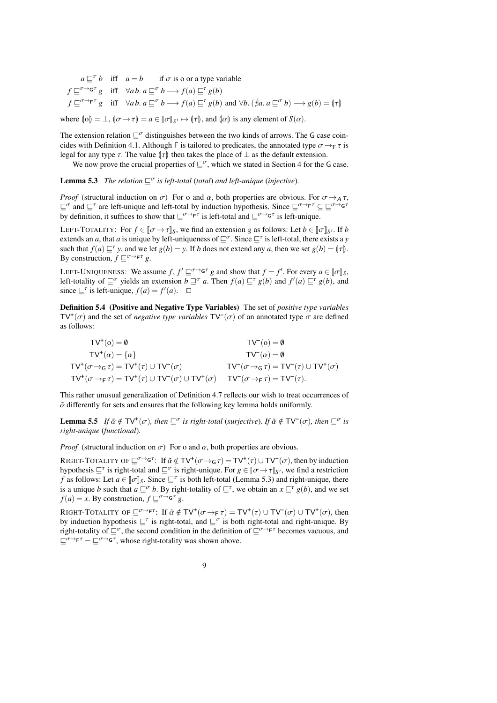$a \sqsubseteq^{\sigma} b$  iff  $a = b$  if  $\sigma$  is o or a type variable  $f \sqsubseteq^{\sigma \to} G^{\tau} g$  iff  $\forall ab. a \sqsubseteq^{\sigma} b \longrightarrow f(a) \sqsubseteq^{\tau} g(b)$  $f \sqsubseteq^{\sigma \to \infty} g$  iff  $\forall ab. a \sqsubseteq^{\sigma} b \longrightarrow f(a) \sqsubseteq^{\tau} g(b)$  and  $\forall b. (\nexists a. a \sqsubseteq^{\sigma} b) \longrightarrow g(b) = (\nmid \tau)$ 

where  $\{ \infty \} = \bot$ ,  $\{ \sigma \to \tau \} = a \in [\![\sigma]\!]_{S'} \mapsto \{ \tau \}$ , and  $\{ \alpha \}$  is any element of  $S(\alpha)$ .

The extension relation  $\sqsubseteq^{\sigma}$  distinguishes between the two kinds of arrows. The G case coincides with Definition 4.1. Although F is tailored to predicates, the annotated type  $\sigma \rightarrow \varepsilon \tau$  is legal for any type  $\tau$ . The value  $|\tau|$  then takes the place of  $\perp$  as the default extension.

We now prove the crucial properties of  $\subseteq^{\sigma}$ , which we stated in Section 4 for the G case.

# **Lemma 5.3** *The relation*  $\Gamma^{\sigma}$  *is left-total* (*total*) *and left-unique* (*injective*).

*Proof* (structural induction on  $\sigma$ ) For o and  $\alpha$ , both properties are obvious. For  $\sigma \rightarrow_A \tau$ ,  $\sqsubseteq^{\sigma}$  and  $\sqsubseteq^{\tau}$  are left-unique and left-total by induction hypothesis. Since  $\sqsubseteq^{\sigma\to\tau\tau}\subseteq \sqsubseteq^{\sigma\to\tau\tau}$ by definition, it suffices to show that  $\sqsubseteq^{\sigma\to}F^\tau$  is left-total and  $\sqsubseteq^{\sigma\to}G^\tau$  is left-unique.

LEFT-TOTALITY: For  $f \in [\![\sigma \rightarrow \tau]\!]_S$ , we find an extension *g* as follows: Let  $b \in [\![\sigma]\!]_S$ . If *b* extends an *a* that *a* is unique by left-uniqueness of  $\lceil \nabla \cdot \text{Sine} \rceil$  is left-total, there exists a y extends an *a*, that *a* is unique by left-uniqueness of  $\subseteq^{\sigma}$ . Since  $\subseteq^{\tau}$  is left-total, there exists a *y* such that  $f(a) \sqsubseteq^{\tau} y$ , and we let  $g(b) = y$ . If *b* does not extend any *a*, then we set  $g(b) = (\tau)$ .<br>By construction  $f \sqsubset^{\sigma} \rightarrow \mathbb{F}^{\tau}$  a By construction,  $f \sqsubseteq^{\sigma \rightarrow \in \tau} g$ .

LEFT-UNIQUENESS: We assume  $f, f' \sqsubseteq^{\sigma \to} \mathsf{G}^\tau g$  and show that  $f = f'$ . For every  $a \in [\![\sigma]\!]_S$ , left-totality of  $\sqsubset^{\sigma}$  yields an extension  $b, \sqsupset^{\sigma} g$ . Then  $f(a) \sqsubset^{\tau} g(b)$  and  $f'(a) \sqsubset^{\tau} g(b)$  and left-totality of  $\subseteq^{\sigma}$  yields an extension  $b \sqsupseteq^{\sigma} a$ . Then  $f(a) \sqsubseteq^{\tau} g(b)$  and  $f'(a) \sqsubseteq^{\tau} g(b)$ , and since  $\sqsubseteq^{\tau}$  is left-unique,  $f(a) = f'(a)$ .  $\Box$ 

Definition 5.4 (Positive and Negative Type Variables) The set of *positive type variables* TV<sup>+</sup>( $\sigma$ ) and the set of *negative type variables* TV<sup>-</sup>( $\sigma$ ) of an annotated type  $\sigma$  are defined as follows: as follows:

$$
\begin{array}{ll}\n\mathsf{TV}^+(\mathsf{o}) = \emptyset & \mathsf{TV}^-(\mathsf{o}) = \emptyset \\
\mathsf{TV}^+(\alpha) = \{\alpha\} & \mathsf{TV}^-(\alpha) = \emptyset \\
\mathsf{TV}^+(\sigma \rightarrow_\mathsf{G} \tau) = \mathsf{TV}^+(\tau) \cup \mathsf{TV}^-(\sigma) & \mathsf{TV}^-(\sigma \rightarrow_\mathsf{G} \tau) = \mathsf{TV}^-(\tau) \cup \mathsf{TV}^+(\sigma) \\
\mathsf{TV}^+(\sigma \rightarrow_\mathsf{F} \tau) = \mathsf{TV}^+(\tau) \cup \mathsf{TV}^-(\sigma) \cup \mathsf{TV}^+(\sigma) & \mathsf{TV}^-(\sigma \rightarrow_\mathsf{F} \tau) = \mathsf{TV}^-(\tau).\n\end{array}
$$

This rather unusual generalization of Definition 4.7 reflects our wish to treat occurrences of  $\tilde{\alpha}$  differently for sets and ensures that the following key lemma holds uniformly.

**Lemma 5.5** *If*  $\tilde{\alpha} \notin TV^+(\sigma)$ *, then*  $\sqsubseteq^{\sigma}$  *is right-total (surjective). If*  $\tilde{\alpha} \notin TV^-(\sigma)$ *, then*  $\sqsubseteq^{\sigma}$  *is right-unique (functional) right-unique* (*functional*)*.*

*Proof* (structural induction on  $\sigma$ ) For o and  $\alpha$ , both properties are obvious.

RIGHT-TOTALITY OF  $\underline{\Box}^{\sigma\to}G^{\tau}$ : If  $\tilde{\alpha} \notin TV^+(\sigma \to_G \tau) = TV^+(\tau) \cup TV^-(\sigma)$ , then by induction<br>hypothesis  $\Box^{\tau}$  is right-total and  $\Box^{\sigma}$  is right-unique. For  $\alpha \in [\![\tau \to \tau]\!]$  we find a restriction hypothesis  $\subseteq^{\tau}$  is right-total and  $\subseteq^{\sigma}$  is right-unique. For  $g \in [\![\sigma \rightarrow \tau]\!]_S$ , we find a restriction f as follows: Let  $g \in [\![\tau]\!]_S$ . Since  $\sqsubset^{\sigma}$  is both left-total (Lemma 5.3) and right-unique, there *f* as follows: Let  $a \in [\![\sigma]\!]_S$ . Since  $\sqsubseteq^{\sigma}$  is both left-total (Lemma 5.3) and right-unique, there is a unique *b* such that  $a \sqsubseteq^{\sigma} b$ . By right-totality of  $\sqsubseteq^{\tau}$ , we obtain an  $x \sqsubseteq^{\tau} g(b)$ , and we set  $f(a) = x$ . By construction,  $f \sqsubseteq^{\sigma \rightarrow} G^{\tau} g$ .

RIGHT-TOTALITY OF  $\sqsubseteq^{\sigma\to\tau\tau}$ : If  $\tilde{\alpha} \notin TV^+(\sigma \to_{\mathsf{F}} \tau) = TV^+(\tau) \cup TV^-(\sigma) \cup TV^+(\sigma)$ , then<br>by induction by nothesis  $\sqsubset^{\tau}$  is right-total, and  $\sqsubset^{\sigma}$  is both right-total and right-unique. By by induction hypothesis  $\sqsubseteq^{\tau}$  is right-total, and  $\sqsubseteq^{\sigma}$  is both right-total and right-unique. By right-totality of  $\sqsubseteq^{\sigma}$ , the second condition in the definition of  $\sqsubseteq^{\sigma\to}F^{\tau}$  becomes vacuous, and  $\Box^{\sigma \rightarrow \tau \tau} = \Box^{\sigma \rightarrow \tau \tau}$ , whose right-totality was shown above.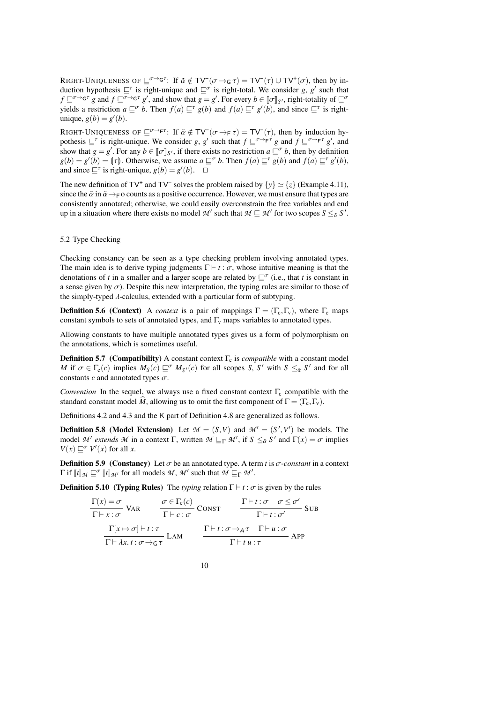RIGHT-UNIQUENESS OF  $\sqsubseteq^{\sigma\to}$ G<sup>T</sup>: If  $\tilde{\alpha} \notin TV^-(\sigma \to_G \tau) = TV^-(\tau) \cup TV^+$ <br>duction hypothesis  $\sqsubset^{\tau}$  is right-unique and  $\sqsubset^{\sigma}$  is right-total. We conside RIGHT-UNIQUENESS OF  $\sqsubseteq^{\sigma\to}$  $G^{\tau}$ : If  $\tilde{\alpha} \notin TV^-(\sigma \to_G \tau) = TV^-(\tau) \cup TV^+(\sigma)$ , then by induction hypothesis  $\sqsubseteq^{\tau}$  is right-unique and  $\sqsubseteq^{\sigma}$  is right-total. We consider *g*, *g'* such that  $f \sqsubseteq^{\sigma \to} G^{\tau} g$  and  $f \sqsubseteq^{\sigma \to} G^{\tau} g'$ , and show that  $g = g'$ . For every  $b \in [\![\sigma]\!]_{S'}$ , right-totality of  $\sqsubseteq^{\sigma} g'$ <br>vields a restriction  $g \sqsubset^{\sigma} b$ . Then  $f(g) \sqsubset^{\tau} g(b)$  and  $f(g) \sqsubset^{\tau} g'(b)$  and since  $\sqsubset^{\tau}$  is yields a restriction  $a \sqsubseteq^{\sigma} b$ . Then  $f(a) \sqsubseteq^{\tau} g(b)$  and  $f(a) \sqsubseteq^{\tau} g'(b)$ , and since  $\sqsubseteq^{\tau}$  is rightunique,  $g(b) = g'(b)$ .

RIGHT-UNIQUENESS OF  $\sqsubseteq^{\sigma \to} F^{\tau}$ : If  $\tilde{\alpha} \notin TV^-(\sigma \to_F \tau) = TV^-(\tau)$ , then by induction hy-<br>pothesis  $\sqsubset^{\tau}$  is right-unique. We consider a g' such that  $f \sqsubset^{\sigma \to} F^{\tau}$  a and  $f \sqsubset^{\sigma \to} F^{\tau}$  a' and pothesis  $\subseteq^{\tau}$  is right-unique. We consider *g*, *g*' such that  $f \subseteq^{\sigma \to \tau} g$  and  $f \subseteq^{\sigma \to \tau} g'$ , and show that  $g = g'$ . For any  $b \in [\![\sigma]\!]_{S'}$ , if there exists no restriction  $a \sqsubseteq^{\sigma} b$ , then by definition  $a(b) = a'(b) = (a \uparrow b)$ . Otherwise, we assume  $a \sqsubset^{\sigma} b$ . Then  $f(a) \sqsubset^{\tau} g(b)$  and  $f(a) \sqsubset^{\tau} g'(b)$ .  $g(b) = g'(b) = (\tau)$ . Otherwise, we assume  $a \sqsubseteq^{\sigma} b$ . Then  $f(a) \sqsubseteq^{\tau} g(b)$  and  $f(a) \sqsubseteq^{\tau} g'(b)$ , and since  $\sqcap^{\tau}$  is right-unique  $g(b) - g'(b)$ . and since  $\sqsubseteq^{\tau}$  is right-unique,  $g(b) = g'(b)$ .  $\Box$ 

The new definition of TV<sup>+</sup> and TV<sup>-</sup> solves the problem raised by  $\{y\} \simeq \{z\}$  (Example 4.11), since the  $\tilde{\alpha}$  in  $\tilde{\alpha} \rightarrow_F o$  counts as a positive occurrence. However, we must ensure that types are consistently annotated; otherwise, we could easily overconstrain the free variables and end up in a situation where there exists no model  $M'$  such that  $M \sqsubseteq M'$  for two scopes  $S \leq_{\tilde{\alpha}} S'$ .

# 5.2 Type Checking

Checking constancy can be seen as a type checking problem involving annotated types. The main idea is to derive typing judgments  $\Gamma \vdash t : \sigma$ , whose intuitive meaning is that the denotations of *t* in a smaller and a larger scope are related by  $\subseteq^{\sigma}$  (i.e., that *t* is constant in a sense given by  $\sigma$ ). Despite this new interpretation, the typing rules are similar to those of the simply-typed  $\lambda$ -calculus, extended with a particular form of subtyping.

**Definition 5.6** (Context) A *context* is a pair of mappings  $\Gamma = (\Gamma_c, \Gamma_v)$ , where  $\Gamma_c$  maps constant symbols to sets of annotated types, and  $\Gamma_v$  maps variables to annotated types.

Allowing constants to have multiple annotated types gives us a form of polymorphism on the annotations, which is sometimes useful.

**Definition 5.7** (Compatibility) A constant context  $\Gamma_c$  is *compatible* with a constant model *M* if  $\sigma \in \Gamma_c(c)$  implies  $M_S(c) \sqsubseteq^{\sigma} M_{S'}(c)$  for all scopes *S*, *S*' with  $S \leq_{\tilde{\alpha}} S'$  and for all constants *c* and annotated types  $\sigma$ . constants  $c$  and annotated types  $\sigma$ .

*Convention* In the sequel, we always use a fixed constant context  $\Gamma_c$  compatible with the standard constant model  $\hat{M}$ , allowing us to omit the first component of  $\Gamma = (\Gamma_c, \Gamma_v)$ .

Definitions 4.2 and 4.3 and the K part of Definition 4.8 are generalized as follows.

**Definition 5.8 (Model Extension)** Let  $\mathcal{M} = (S, V)$  and  $\mathcal{M}' = (S', V')$  be models. The model  $\mathcal{M}'$  extends  $\mathcal{M}$  in a context  $\Gamma$  written  $\mathcal{M} \Gamma_{\Gamma} \mathcal{M}'$  if  $S \leq S'$  and  $\Gamma(r) = \sigma$  implies model *M'* extends *M* in a context Γ, written  $M \sqsubseteq_{\Gamma} M'$ , if  $S \leq_{\tilde{\alpha}} S'$  and  $\Gamma(x) = \sigma$  implies  $V(x) \sqsubset^{\sigma} V'(x)$  for all  $x$  $V(x) \sqsubseteq^{\sigma} V'(x)$  for all *x*.

**Definition 5.9** (Constancy) Let  $\sigma$  be an annotated type. A term *t* is  $\sigma$ -*constant* in a context  $\Gamma$  if  $[[t]]_{\mathcal{M}} \sqsubseteq^{\sigma} [[t]]_{\mathcal{M}'}$  for all models  $\mathcal{M}, \mathcal{M}'$  such that  $\mathcal{M} \sqsubseteq_{\Gamma} \mathcal{M}'.$ 

**Definition 5.10** (Typing Rules) The *typing* relation  $\Gamma \vdash t : \sigma$  is given by the rules

$$
\frac{\Gamma(x) = \sigma}{\Gamma \vdash x : \sigma} \text{VAR} \qquad \frac{\sigma \in \Gamma_c(c)}{\Gamma \vdash c : \sigma} \text{Consr} \qquad \frac{\Gamma \vdash t : \sigma \quad \sigma \le \sigma'}{\Gamma \vdash t : \sigma'} \text{SUB}
$$
\n
$$
\frac{\Gamma[x \mapsto \sigma] \vdash t : \tau}{\Gamma \vdash \lambda x. t : \sigma \rightarrow_{\mathsf{G}} \tau} \text{LAM} \qquad \frac{\Gamma \vdash t : \sigma \rightarrow_{\mathsf{A}} \tau \quad \Gamma \vdash u : \sigma}{\Gamma \vdash t u : \tau} \text{APP}
$$

10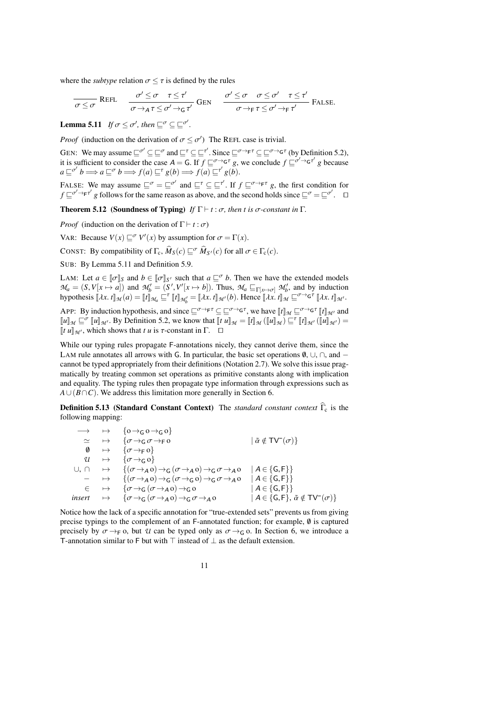where the *subtype* relation  $\sigma \leq \tau$  is defined by the rules

$$
\frac{\sigma' \leq \sigma}{\sigma \leq \sigma} \text{REF} \quad \frac{\sigma' \leq \sigma \quad \tau \leq \tau'}{\sigma \to_A \tau \leq \sigma' \to_G \tau'} \text{GEN} \quad \frac{\sigma' \leq \sigma \quad \sigma \leq \sigma' \quad \tau \leq \tau'}{\sigma \to_F \tau \leq \sigma' \to_F \tau'} \text{FALSE.}
$$

**Lemma 5.11** *If*  $\sigma \leq \sigma'$ , then  $\sqsubseteq^{\sigma} \subseteq \sqsubseteq^{\sigma'}$ .

*Proof* (induction on the derivation of  $\sigma \leq \sigma'$ ) The REFL case is trivial.

GEN: We may assume  $\underline{\sqsubseteq}^{\sigma'} \subseteq \underline{\sqsubseteq}^{\sigma}$  and  $\underline{\sqsubseteq}^{\tau} \subseteq \underline{\sqsubseteq}^{\tau'}$ . Since  $\underline{\sqsubseteq}^{\sigma \to \mathsf{F}^{\tau}} \subseteq \underline{\sqsubseteq}^{\sigma \to \mathsf{G}^{\tau}}$  (by Definition 5.2), it is sufficient to consider the case  $A = G$ . If  $f \sqsubseteq^{\sigma \to} G^{\tau}$  *g*, we conclude  $f \sqsubseteq^{\sigma' \to} G^{\tau'}$  *g* because  $a \sqsubseteq^{\sigma'} b \Longrightarrow a \sqsubseteq^{\sigma} b \Longrightarrow f(a) \sqsubseteq^{\tau} g(b) \Longrightarrow f(a) \sqsubseteq^{\tau'} g(b).$ 

FALSE: We may assume  $\sqsubseteq^{\sigma} = \sqsubseteq^{\sigma'}$  and  $\sqsubseteq^{\tau} \subseteq \sqsubseteq^{\tau'}$ . If  $f \sqsubseteq^{\sigma \to \tau} g$ , the first condition for  $f \sqsubseteq^{\sigma^1 \to \mathsf{F}^{\tau^1}} g$  follows for the same reason as above, and the second holds since  $\sqsubseteq^{\sigma} = \sqsubseteq^{\sigma^1}$ .  $\Box$ 

**Theorem 5.12** (Soundness of Typing) *If*  $\Gamma \vdash t : \sigma$ *, then t is*  $\sigma$ *-constant in*  $\Gamma$ *.* 

*Proof* (induction on the derivation of  $\Gamma \vdash t : \sigma$ )

VAR: Because  $V(x) \sqsubseteq^{\sigma} V'(x)$  by assumption for  $\sigma = \Gamma(x)$ .

CONST: By compatibility of  $\Gamma_c$ ,  $\dot{M}_S(c) \sqsubseteq^{\sigma} \dot{M}_{S'}(c)$  for all  $\sigma \in \Gamma_c(c)$ .

SUB: By Lemma 5.11 and Definition 5.9.

LAM: Let  $a \in [\![\sigma]\!]_S$  and  $b \in [\![\sigma]\!]_{S'}$  such that  $a \sqsubseteq^{\sigma} b$ . Then we have the extended models  $M = (S \vee [r \mapsto a])$  and  $M' = (S' \vee [r \mapsto b])$ . Thus  $M \sqsubseteq r \rightarrow M'$  and by induction  $\mathcal{M}_a = (S, V[x \mapsto a])$  and  $\mathcal{M}_b' = (S', V'[x \mapsto b])$ . Thus,  $\mathcal{M}_a \sqsubseteq_{\Gamma[x \mapsto \sigma]} \mathcal{M}_b'$ , and by induction by  $\mathcal{M}_b$  and  $\mathcal{M}_b'$ ,  $\mathcal{M}_c$   $\vdash a$ ,  $\mathcal{M}_b$  and  $\mathcal{M}_b'$ ,  $\mathcal{M}_c \vdash a$ ,  $\mathcal{M}_c \vdash a$ ,  $\mathcal{M}_c \vdash a$ , hypothesis  $[\![\lambda x. t]\!]_{\mathcal{M}}(a) = [\![t]\!]_{\mathcal{M}_a} \sqsubseteq^{\tau} [\![t]\!]_{\mathcal{M}'_b} = [\![\lambda x. t]\!]_{\mathcal{M}'}(b)$ . Hence  $[\![\lambda x. t]\!]_{\mathcal{M}} \sqsubseteq^{\sigma \to} \mathsf{G}^{\tau} [\![\lambda x. t]\!]_{\mathcal{M}'}$ .

APP: By induction hypothesis, and since  $\subseteq^{\sigma\to\epsilon\tau} \subseteq \subseteq^{\sigma\to\epsilon\tau}$ , we have  $[[t]]_{\mathcal{M}} \subseteq^{\sigma\to\epsilon\tau} [[t]]_{\mathcal{M}'}$  and  $\subseteq^{\sigma\to\epsilon\tau}$   $[[t]]_{\mathcal{M}'} \subseteq^{\tau\to\epsilon\tau}$  $[\![u]\!]_{\mathcal{M}} \subseteq^{\sigma} [\![u]\!]_{\mathcal{M}'}$ . By Definition 5.2, we know that  $[\![t \, u]\!]_{\mathcal{M}} = [\![t]\!]_{\mathcal{M}} (\llbracket u \rrbracket_{\mathcal{M}}) \sqsubseteq^{\tau} [\![t]\!]_{\mathcal{M}'} (\llbracket u \rrbracket_{\mathcal{M}'}) =$  $\llbracket t \ u \rrbracket_{\mathcal{M}}$ , which shows that  $t \ u$  is  $\tau$ -constant in  $\Gamma$ .  $\Box$ 

While our typing rules propagate F-annotations nicely, they cannot derive them, since the LAM rule annotates all arrows with G. In particular, the basic set operations  $\emptyset$ , ∪, ∩, and – cannot be typed appropriately from their definitions (Notation 2.7). We solve this issue pragmatically by treating common set operations as primitive constants along with implication and equality. The typing rules then propagate type information through expressions such as *A*∪(*B*∩*C*). We address this limitation more generally in Section 6.

**Definition 5.13 (Standard Constant Context)** The *standard constant context*  $\hat{\Gamma}_c$  is the following mapping:

|   | $\longrightarrow$ $\mapsto$ $\{0 \rightarrow \infty 0 \rightarrow \infty 0\}$                                                                           |                                                        |
|---|---------------------------------------------------------------------------------------------------------------------------------------------------------|--------------------------------------------------------|
|   | $\simeq$ $\mapsto$ $\{\sigma \rightarrow_{\mathsf{G}} \sigma \rightarrow_{\mathsf{F}} 0$                                                                | $\vert \tilde{a} \notin TV^-(\sigma) \}$               |
| Ø | $\mapsto \{\sigma \rightarrow_F \rho\}$                                                                                                                 |                                                        |
| U | $\mapsto \{\sigma \rightarrow_{\mathsf{G}} \mathfrak{o}\}$                                                                                              |                                                        |
|   | $\cup, \cap \rightarrow \{\left(\sigma \rightarrow_A 0\right) \rightarrow_G \left(\sigma \rightarrow_A 0\right) \rightarrow_G \sigma \rightarrow_A 0\}$ | $A \in \{G, F\}\}$                                     |
|   | $\rightarrow \quad \{(\sigma \rightarrow_A 0) \rightarrow_G (\sigma \rightarrow_G 0) \rightarrow_G \sigma \rightarrow_A 0$                              | $A \in \{G, F\}\}$                                     |
|   | $\in$ $\mapsto$ $\{\sigma \rightarrow_{\mathsf{G}} (\sigma \rightarrow_{\mathsf{A}} 0) \rightarrow_{\mathsf{G}} 0$                                      | $A \in \{G, F\}\}$                                     |
|   | insert $\mapsto \{\sigma \rightarrow_G (\sigma \rightarrow_A 0) \rightarrow_G \sigma \rightarrow_A 0$                                                   | $A \in \{G, F\}, \tilde{\alpha} \notin TV^-(\sigma)\}$ |
|   |                                                                                                                                                         |                                                        |

Notice how the lack of a specific annotation for "true-extended sets" prevents us from giving precise typings to the complement of an F-annotated function; for example,  $\emptyset$  is captured precisely by  $\sigma \rightarrow_F \infty$ , but *U* can be typed only as  $\sigma \rightarrow_G \infty$ . In Section 6, we introduce a T-annotation similar to F but with  $\top$  instead of  $\bot$  as the default extension.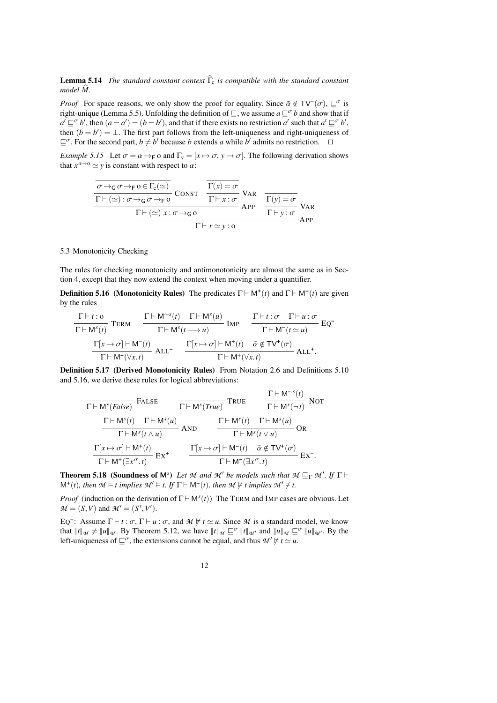**Lemma 5.14** *The standard constant context*  $\hat{\Gamma}_{c}$  *is compatible with the standard constant model*  $\hat{M}$ *.* 

*Proof* For space reasons, we only show the proof for equality. Since  $\tilde{\alpha} \notin TV^-(\sigma)$ ,  $\sqsubseteq^{\sigma}$  is right-unique (Lemma 5.5). Unfolding the definition of  $\sqsubset$  we assume  $\alpha \sqsubset^{\sigma}$  h and show that if right-unique (Lemma 5.5). Unfolding the definition of  $\subseteq$ , we assume  $a \sqsubseteq^{\sigma} b$  and show that if  $a' \sqsubseteq^{\sigma} b'$ , then  $(a = a') = (b = b')$ , and that if there exists no restriction *a*' such that  $a' \sqsubseteq^{\sigma} b'$ , then  $(b = b') = \bot$ . The first part follows from the left-uniqueness and right-uniqueness of  $\subseteq^{\sigma}$ . For the second part,  $b \neq b'$  because *b* extends *a* while *b'* admits no restriction.  $\square$ 

*Example 5.15* Let  $\sigma = \alpha \rightarrow_F 0$  and  $\Gamma_v = [x \mapsto \sigma, y \mapsto \sigma]$ . The following derivation shows that  $x^{\alpha \to 0} \simeq y$  is constant with respect to  $\alpha$ :

$$
\frac{\overline{\sigma \rightarrow_{\mathsf{G}} \sigma \rightarrow_{\mathsf{F}} \mathfrak{o} \in \Gamma_{\mathsf{c}}(\simeq)}}{\Gamma \vdash (\simeq) : \sigma \rightarrow_{\mathsf{G}} \sigma \rightarrow_{\mathsf{F}} \mathfrak{o}} \text{Consr} \quad \frac{\overline{\Gamma(x) = \sigma}}{\Gamma \vdash x : \sigma} \text{VAR} \quad \frac{\Gamma(y) = \sigma}{\Gamma \vdash y : \sigma} \text{VAR} \quad \frac{\Gamma \vdash (\simeq) x : \sigma \rightarrow_{\mathsf{G}} \mathfrak{o}}{\Gamma \vdash x : \sigma \rightarrow_{\mathsf{G}} \mathfrak{o}} \text{APP} \quad \frac{\Gamma \vdash (\simeq) x : \sigma \rightarrow_{\mathsf{G}} \mathfrak{o}}{\Gamma \vdash x \simeq y : \mathfrak{o}} \text{APP}
$$

# 5.3 Monotonicity Checking

The rules for checking monotonicity and antimonotonicity are almost the same as in Section 4, except that they now extend the context when moving under a quantifier.

**Definition 5.16** (Monotonicity Rules) The predicates  $\Gamma \vdash M^+(t)$  and  $\Gamma \vdash M^-(t)$  are given by the rules

$$
\frac{\Gamma \vdash t : \sigma \qquad \Gamma \vdash \mathsf{M}^s(t) \qquad \Gamma \vdash \mathsf{M}^s(u)}{\Gamma \vdash \mathsf{M}^s(t) \qquad \Gamma \vdash \mathsf{M}^s(u)} \text{ Imp} \qquad \frac{\Gamma \vdash t : \sigma \qquad \Gamma \vdash u : \sigma}{\Gamma \vdash \mathsf{M}^-(t \simeq u)} \text{ EQ}^{-}
$$

$$
\frac{\Gamma[x \mapsto \sigma] \vdash \mathsf{M}^-(t)}{\Gamma \vdash \mathsf{M}^-(\forall x. t)} \text{ ALL}^{-} \qquad \frac{\Gamma[x \mapsto \sigma] \vdash \mathsf{M}^+(t) \qquad \tilde{\alpha} \notin \mathsf{TV}^+(\sigma)}{\Gamma \vdash \mathsf{M}^+(\forall x. t)} \text{ ALL}^{+}.
$$

Definition 5.17 (Derived Monotonicity Rules) From Notation 2.6 and Definitions 5.10 and 5.16, we derive these rules for logical abbreviations:

$$
\frac{\Gamma \vdash M^{s}(False)}{\Gamma \vdash M^{s}(t) \quad \Gamma \vdash M^{s}(true)} \text{TRUE} \qquad \frac{\Gamma \vdash M^{\sim s}(t)}{\Gamma \vdash M^{s}(\neg t)} \text{ NOT}
$$
\n
$$
\frac{\Gamma \vdash M^{s}(t) \quad \Gamma \vdash M^{s}(u)}{\Gamma \vdash M^{s}(t \land u)} \text{ AND} \qquad \frac{\Gamma \vdash M^{s}(t) \quad \Gamma \vdash M^{s}(u)}{\Gamma \vdash M^{s}(t \lor u)} \text{ OR}
$$
\n
$$
\frac{\Gamma[x \mapsto \sigma] \vdash M^{+}(t)}{\Gamma \vdash M^{+}(\exists x^{\sigma}.t)} \text{ Ext} \qquad \frac{\Gamma[x \mapsto \sigma] \vdash M^{-}(t) \quad \tilde{\alpha} \notin \text{TV}^{+}(\sigma)}{\Gamma \vdash M^{-}(\exists x^{\sigma}.t)} \text{ Ext}.
$$

**Theorem 5.18** (Soundness of M<sup>*s*</sup>) *Let*  $M$  *and*  $M'$  *be models such that*  $M \sqsubseteq_{\Gamma} M'$ *. If*  $\Gamma \vdash$  $M^+(t)$ *, then*  $M \models t$  *implies*  $M' \models t$ *. If*  $\Gamma \vdash M^-(t)$ *, then*  $M \not \models t$  *implies*  $M' \not \models t$ *.* 

*Proof* (induction on the derivation of  $\Gamma \vdash M^s(t)$ ) The TERM and IMP cases are obvious. Let  $M = (S, V)$  and  $M' = (S', V').$ 

EQ<sup>-</sup>: Assume Γ  $\vdash t : \sigma$ , Γ  $\vdash u : \sigma$ , and *M*  $\not\models t \simeq u$ . Since *M* is a standard model, we know that  $\llbracket t \rrbracket_{\leq t} \leq \llbracket u \rrbracket_{\leq t}$ . By Theorem 5.12, we have  $\llbracket t \rrbracket_{\leq t} \subset \sigma$   $\llbracket u \rrbracket_{\leq t} \subset \sigma$   $\llbracket u \rr$ that  $\llbracket t \rrbracket_M \neq \llbracket u \rrbracket_M$ . By Theorem 5.12, we have  $\llbracket t \rrbracket_M \sqsubseteq^{\sigma} \llbracket t \rrbracket_{M'}$  and  $\llbracket u \rrbracket_M \sqsubseteq^{\sigma} \llbracket u \rrbracket_{M'}$ . By the left-uniqueness of  $\subseteq^{\sigma}$ , the extensions cannot be equal, and thus  $\mathcal{M}' \neq t \simeq u$ .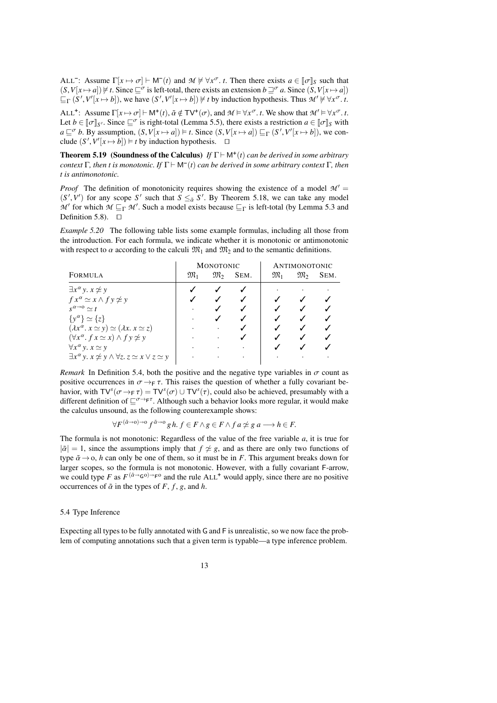ALL<sup>-</sup>: Assume  $\Gamma[x \mapsto \sigma] \vdash M^{-}(t)$  and  $\mathcal{M} \not\models \forall x^{\sigma}$ , *t*. Then there exists  $a \in [\![\sigma]\!]_S$  such that  $(S, V[x \mapsto a]) \not\models t$ . Since  $[\![\sigma]\!]$  is left-total, there exists an extension  $b \sqsupset \sigma a$ . Since  $(S, V[x \mapsto a])$  $(S, V[x \mapsto a]) \neq t$ . Since  $\subseteq^{\sigma}$  is left-total, there exists an extension  $b \sqsupseteq^{\sigma} a$ . Since  $(S, V[x \mapsto a])$  $\subseteq$ <sup>r</sup> (*S'*, *V'*[ $x \mapsto b$ ]), we have  $(S', V'[x \mapsto b]) \neq t$  by induction hypothesis. Thus  $\mathcal{M}' \neq \forall x^{\sigma}$ . *t*.

ALL<sup>+</sup>: Assume  $\Gamma[x \mapsto \sigma] \vdash M^+(t), \tilde{\alpha} \notin TV^+(\sigma)$ , and  $M \vDash \forall x^{\sigma}$ . *t*. We show that  $M' \vDash \forall x^{\sigma}$ . *t*. Let  $b \in \llbracket \sigma \rrbracket_{\alpha}$ . Since  $\Box^{\sigma}$  is right-total (Lemma 5.5), there exists a restriction  $a \in \llbracket \sigma \rrbracket_{\alpha}$ Let  $b \in [\![\sigma]\!]_{S}$ . Since  $\sqsubseteq^{\sigma}$  is right-total (Lemma 5.5), there exists a restriction  $a \in [\![\sigma]\!]_{S}$  with  $a \sqsubset^{\sigma} b$ . By assumption  $(S \cup [x \mapsto a]) \models f$  Since  $(S \cup [x \mapsto a]) \sqsubset [S' \cup [x \mapsto b])$  we con*a*  $\subseteq$ <sup>*a*</sup> *b*. By assumption,  $(S, V[x \mapsto a]) \models t$ . Since  $(S, V[x \mapsto a]) \sqsubseteq_{\Gamma} (S', V'[x \mapsto b])$ , we conclude  $(S', V'[x \mapsto b]) \models t$  by induction by pothesis clude  $(S', V'[x \mapsto b]) \models t$  by induction hypothesis. <del>□</del>

**Theorem 5.19** (Soundness of the Calculus) *If*  $\Gamma \vdash M^+(t)$  *can be derived in some arbitrary*  $\epsilon$ *context*  $\Gamma$ *, then t is monotonic. If*  $\Gamma \vdash M^{-}(t)$  *can be derived in some arbitrary context*  $\Gamma$ *, then t is antimonotonic.*

*Proof* The definition of monotonicity requires showing the existence of a model  $M' =$  $(S', V')$  for any scope *S'* such that  $S \leq_{\tilde{\alpha}} S'$ . By Theorem 5.18, we can take any model  $\mathcal{U}'$  for which  $\mathcal{U} \sqsubseteq_{\Omega} \mathcal{U}'$ . Such a model exists because  $\sqsubseteq_{\Omega}$  is left-total (by Lemma 5.3 and  $M'$  for which  $M \sqsubseteq_{\Gamma} M'$ . Such a model exists because  $\sqsubseteq_{\Gamma}$  is left-total (by Lemma 5.3 and Definition 5.8).  $\Box$ 

*Example 5.20* The following table lists some example formulas, including all those from the introduction. For each formula, we indicate whether it is monotonic or antimonotonic with respect to  $\alpha$  according to the calculi  $\mathfrak{M}_1$  and  $\mathfrak{M}_2$  and to the semantic definitions.

|                                                                              | <b>MONOTONIC</b> |                    |      | <b>ANTIMONOTONIC</b> |                    |      |
|------------------------------------------------------------------------------|------------------|--------------------|------|----------------------|--------------------|------|
| <b>FORMULA</b>                                                               | $\mathfrak{M}_1$ | $\mathfrak{M}_{2}$ | SEM. | $\mathfrak{M}_1$     | $\mathfrak{M}_{2}$ | SEM. |
| $\exists x^{\alpha} y. x \neq y$                                             |                  |                    |      |                      |                    |      |
| $f x^{\alpha} \simeq x \wedge f y \not\simeq y$                              |                  |                    |      |                      |                    |      |
| $s^{\alpha\rightarrow o} \sim t$                                             |                  |                    |      |                      |                    |      |
| $\{y^{\alpha}\}\simeq\{z\}$                                                  |                  |                    |      |                      |                    |      |
| $(\lambda x^{\alpha}. x \simeq y) \simeq (\lambda x. x \simeq z)$            |                  |                    |      |                      |                    |      |
| $(\forall x^{\alpha}$ , $f x \simeq x) \wedge f y \not\simeq y$              |                  |                    |      |                      |                    |      |
| $\forall x^{\alpha} y. x \simeq y$                                           |                  |                    |      |                      |                    |      |
| $\exists x^{\alpha} y. x \neq y \land \forall z. z \simeq x \lor z \simeq y$ |                  |                    |      |                      |                    |      |

*Remark* In Definition 5.4, both the positive and the negative type variables in  $\sigma$  count as positive occurrences in  $\sigma \rightarrow_F \tau$ . This raises the question of whether a fully covariant behavior, with  $TV^s(\sigma \rightarrow_F \tau) = TV^s(\sigma) \cup TV^s(\tau)$ , could also be achieved, presumably with a different definition of  $\Box^{\sigma \rightarrow_F \tau}$ . Although such a behavior looks more reqular, it would make different definition of  $\sqsubseteq^{\sigma\to}F^\tau$ . Although such a behavior looks more regular, it would make the calculus unsound, as the following counterexample shows:

$$
\forall F^{(\tilde{a}\to 0)\to 0} f^{\tilde{a}\to 0} g h. f \in F \wedge g \in F \wedge f a \ncong g a \longrightarrow h \in F.
$$

The formula is not monotonic: Regardless of the value of the free variable *a*, it is true for  $|\tilde{\alpha}| = 1$ , since the assumptions imply that  $f \not\cong g$ , and as there are only two functions of type  $\tilde{\alpha} \rightarrow \infty$ , *h* can only be one of them, so it must be in *F*. This argument breaks down for larger scopes, so the formula is not monotonic. However, with a fully covariant F-arrow, we could type *F* as  $F^{(\tilde{a} \to \tilde{c}^0) \to \tilde{r}^0}$  and the rule ALL<sup>+</sup> would apply, since there are no positive occurrences of  $\tilde{\alpha}$  in the types of *F*, *f*, *g*, and *h*.

#### 5.4 Type Inference

Expecting all types to be fully annotated with G and F is unrealistic, so we now face the problem of computing annotations such that a given term is typable—a type inference problem.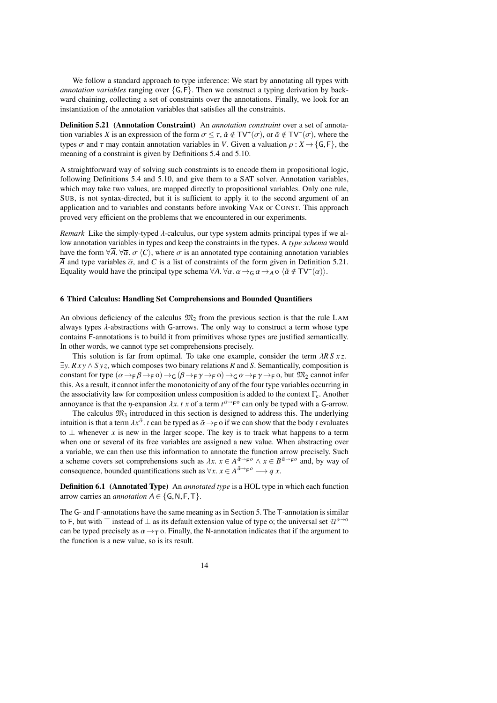We follow a standard approach to type inference: We start by annotating all types with *annotation variables* ranging over {G,F}. Then we construct a typing derivation by backward chaining, collecting a set of constraints over the annotations. Finally, we look for an instantiation of the annotation variables that satisfies all the constraints.

Definition 5.21 (Annotation Constraint) An *annotation constraint* over a set of annotation variables *X* is an expression of the form  $\sigma \leq \tau$ ,  $\tilde{\alpha} \notin TV^+(\sigma)$ , or  $\tilde{\alpha} \notin TV^-(\sigma)$ , where the types  $\sigma$  and  $\tau$  may contain annotation variables in *V*. Given a valuation  $\alpha: X \to f \in \mathbb{R}$ , the types  $\sigma$  and  $\tau$  may contain annotation variables in *V*. Given a valuation  $\rho : X \to \{G, F\}$ , the meaning of a constraint is given by Definitions 5.4 and 5.10.

A straightforward way of solving such constraints is to encode them in propositional logic, following Definitions 5.4 and 5.10, and give them to a SAT solver. Annotation variables, which may take two values, are mapped directly to propositional variables. Only one rule, SUB, is not syntax-directed, but it is sufficient to apply it to the second argument of an application and to variables and constants before invoking VAR or CONST. This approach proved very efficient on the problems that we encountered in our experiments.

*Remark* Like the simply-typed λ-calculus, our type system admits principal types if we allow annotation variables in types and keep the constraints in the types. A *type schema* would have the form  $\forall \overline{A}$ .  $\forall \overline{\alpha}$ .  $\sigma \langle C \rangle$ , where  $\sigma$  is an annotated type containing annotation variables  $\overline{A}$  and type variables  $\overline{\alpha}$ , and *C* is a list of constraints of the form given in Definition 5.21. Equality would have the principal type schema  $\forall A. \forall \alpha. \alpha \rightarrow_G \alpha \rightarrow_A o \langle \tilde{\alpha} \notin TV^-(\alpha) \rangle$ .

# 6 Third Calculus: Handling Set Comprehensions and Bounded Quantifiers

An obvious deficiency of the calculus  $\mathfrak{M}_2$  from the previous section is that the rule LAM always types λ-abstractions with <sup>G</sup>-arrows. The only way to construct a term whose type contains F-annotations is to build it from primitives whose types are justified semantically. In other words, we cannot type set comprehensions precisely.

This solution is far from optimal. To take one example, consider the term λ*R S x z*. <sup>∃</sup>*y*. *R x y* <sup>∧</sup> *S y z*, which composes two binary relations *<sup>R</sup>* and *<sup>S</sup>*. Semantically, composition is constant for type  $(\alpha \rightarrow_F \beta \rightarrow_F o) \rightarrow_G (\beta \rightarrow_F \gamma \rightarrow_F o) \rightarrow_G \alpha \rightarrow_F \gamma \rightarrow_F o$ , but  $\mathfrak{M}_2$  cannot infer this. As a result, it cannot infer the monotonicity of any of the four type variables occurring in the associativity law for composition unless composition is added to the context  $\Gamma_c$ . Another annoyance is that the *η*-expansion  $\lambda x$ . *t x* of a term  $t^{\tilde{\alpha} \to \mathsf{F}^0}$  can only be typed with a G-arrow.<br>The calculus  $\mathfrak{M}_0$  introduced in this section is designed to address this. The underlying

The calculus  $\mathfrak{M}_3$  introduced in this section is designed to address this. The underlying intuition is that a term  $\lambda x^{\tilde{\alpha}}$ , *t* can be typed as  $\tilde{\alpha} \rightarrow_F o$  if we can show that the body *t* evaluates to  $\alpha$  is new in the larger scope. The key is to track what happens to a term to  $\perp$  whenever *x* is new in the larger scope. The key is to track what happens to a term when one or several of its free variables are assigned a new value. When abstracting over a variable, we can then use this information to annotate the function arrow precisely. Such a scheme covers set comprehensions such as  $\lambda x$ .  $x \in A^{\tilde{\alpha} \to \rho} \land x \in B^{\tilde{\alpha} \to \rho}$  and, by way of consequence bounded quantifications such as  $\forall x, x \in A^{\tilde{\alpha} \to \rho} \to a, x$ consequence, bounded quantifications such as  $\forall x. \ x \in A^{\tilde{\alpha} \to \rho} \longrightarrow q \ x$ .

Definition 6.1 (Annotated Type) An *annotated type* is a HOL type in which each function arrow carries an *annotation*  $A \in \{G, N, F, T\}.$ 

The G- and F-annotations have the same meaning as in Section 5. The T-annotation is similar to F, but with  $\top$  instead of  $\bot$  as its default extension value of type o; the universal set  $\mathcal{U}^{\alpha \rightarrow 0}$ can be typed precisely as  $\alpha \rightarrow_\tau$  o. Finally, the N-annotation indicates that if the argument to the function is a new value, so is its result.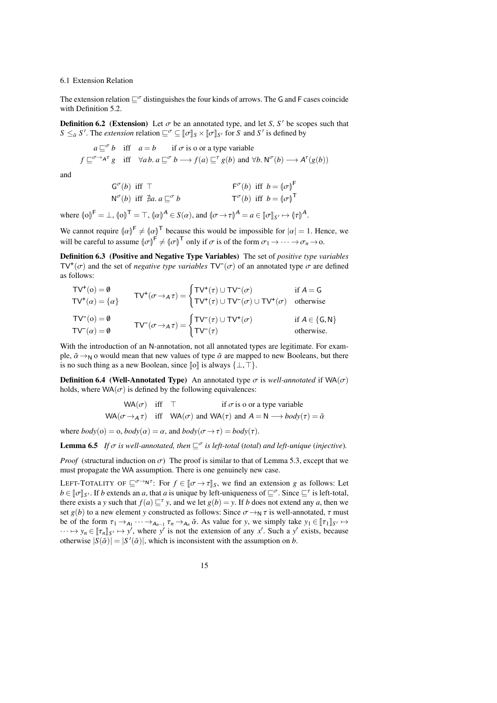# 6.1 Extension Relation

The extension relation  $\mathbb{Z}^{\sigma}$  distinguishes the four kinds of arrows. The G and F cases coincide with Definition 5.2.

**Definition 6.2** (Extension) Let  $\sigma$  be an annotated type, and let *S*, *S'* be scopes such that  $S \leq s$  *S'*. The extension relation  $\Box^{\sigma} \subset \mathbb{I} \times \mathbb{I} \times \mathbb{I} \times \mathbb{I}$  for *S* and *S'* is defined by  $S \leq_{\tilde{\alpha}} S'$ . The *extension* relation  $\subseteq^{\sigma} \subseteq [\![\sigma]\!]_S \times [\![\sigma]\!]_{S'}$  for *S* and *S'* is defined by

$$
a \sqsubseteq^{\sigma} b
$$
 iff  $a = b$  if  $\sigma$  is o or a type variable  
 $f \sqsubseteq^{\sigma \to_{A^{\tau}} g}$  iff  $\forall ab. a \sqsubseteq^{\sigma} b \longrightarrow f(a) \sqsubseteq^{\tau} g(b)$  and  $\forall b. \mathbb{N}^{\sigma}(b) \longrightarrow \mathbb{A}^{\tau}(g(b))$ 

and

$$
G^{\sigma}(b)
$$
 iff  $\top$   
\n $N^{\sigma}(b)$  iff  $\nexists a \in \mathcal{A}$   
\n $B^{\sigma}(b)$  iff  $b = (\sigma)^{\mathsf{F}}$   
\n $T^{\sigma}(b)$  iff  $b = (\sigma)^{\mathsf{T}}$ 

where  $\left[0\right]^{\mathsf{F}} = \bot$ ,  $\left[0\right]^{\mathsf{T}} = \top$ ,  $\left[\alpha\right]^{\mathsf{A}} \in S(\alpha)$ , and  $\left[\sigma \to \tau\right]^{\mathsf{A}} = a \in \left[\![\sigma]\!]_{S'} \mapsto \left(\!\! \left[\tau\right]^{\mathsf{A}}\!\!\right]$ .

We cannot require  $(\alpha)^F \neq (\alpha)^T$  because this would be impossible for  $|\alpha| = 1$ . Hence, we will be careful to assume  $(\sigma)^F \neq (\sigma)^T$  only if  $\sigma$  is of the form  $\sigma_1 \to \cdots \to \sigma_n \to 0$ .

Definition 6.3 (Positive and Negative Type Variables) The set of *positive type variables* TV<sup>+</sup>( $\sigma$ ) and the set of *negative type variables* TV<sup>-</sup>( $\sigma$ ) of an annotated type  $\sigma$  are defined as follows: as follows:

$$
TV^{+}(o) = \emptyset
$$
  
\n
$$
TV^{+}(\alpha) = \{\alpha\}
$$
  
\n
$$
TV^{+}(\sigma \to_A \tau) = \begin{cases} TV^{+}(\tau) \cup TV^{-}(\sigma) & \text{if } A = G \\ TV^{+}(\tau) \cup TV^{-}(\sigma) \cup TV^{+}(\sigma) & \text{otherwise} \end{cases}
$$
  
\n
$$
TV^{-}(o) = \emptyset
$$
  
\n
$$
TV^{-}(\alpha) = \emptyset
$$
  
\n
$$
TV^{-}(\sigma \to_A \tau) = \begin{cases} TV^{-}(\tau) \cup TV^{+}(\sigma) & \text{if } A \in \{G, N\} \\ TV^{-}(\tau) & \text{otherwise.} \end{cases}
$$

With the introduction of an N-annotation, not all annotated types are legitimate. For example,  $\tilde{\alpha} \rightarrow_N 0$  would mean that new values of type  $\tilde{\alpha}$  are mapped to new Booleans, but there is no such thing as a new Boolean, since  $\llbracket o \rrbracket$  is always  $\{\perp, \top\}.$ 

**Definition 6.4 (Well-Annotated Type)** An annotated type  $\sigma$  is *well-annotated* if  $WA(\sigma)$ holds, where  $WA(\sigma)$  is defined by the following equivalences:

$$
WA(\sigma) \quad \text{iff} \quad \top \qquad \text{if } \sigma \text{ is o or a type variable}
$$
\n
$$
WA(\sigma \to_A \tau) \quad \text{iff} \quad WA(\sigma) \text{ and } WA(\tau) \text{ and } A = N \longrightarrow body(\tau) = \tilde{\alpha}
$$

where  $body(o) = o$ ,  $body(a) = \alpha$ , and  $body(\sigma \rightarrow \tau) = body(\tau)$ .

**Lemma 6.5** *If*  $\sigma$  *is well-annotated, then*  $\Gamma^{\sigma}$  *is left-total (total) and left-unique (injective).* 

*Proof* (structural induction on  $\sigma$ ) The proof is similar to that of Lemma 5.3, except that we must propagate the WA assumption. There is one genuinely new case.

LEFT-TOTALITY OF  $\sqsubseteq^{\sigma\to\mathsf{N}^\tau}$ : For  $f \in [\sigma\to\tau]_S$ , we find an extension *g* as follows: Let  $h \in \mathbb{R}$ , if h extends an *g* that *g* is unique by left-uniqueness of  $\Box^{\sigma}$ . Since  $\Box^{\tau}$  is left-total  $b \in [\![\sigma]\!]_{S'}$ . If *b* extends an *a*, that *a* is unique by left-uniqueness of  $\sqsubseteq^{\sigma}$ . Since  $\sqsubseteq^{\tau}$  is left-total, there exists a *y* such that  $f(a) \sqsubset^{\tau} y$  and we let  $g(b) = y$ . If *b* does not extend any *a* then there exists a *y* such that  $f(a) \sqsubseteq^{\tau} y$ , and we let  $g(b) = y$ . If *b* does not extend any *a*, then we set  $g(b)$  to a new element *y* constructed as follows: Since  $\sigma \rightarrow_N \tau$  is well-annotated,  $\tau$  must be of the form  $\tau_1 \rightarrow_{A_1} \cdots \rightarrow_{A_{n-1}} \tau_n \rightarrow_{A_n} \tilde{\alpha}$ . As value for *y*, we simply take  $y_1 \in [\![\tau_1]\!]_{S'} \mapsto$ <br> $\dots \mapsto y \in [\![\tau_n]\!]_{S'} \mapsto y'$  where  $y'$  is not the extension of any  $x'$ . Such a  $y'$  exists because  $\cdots \mapsto y_n \in [\![\tau_n]\!]_{S'} \mapsto y'$ , where  $y'$  is not the extension of any *x'*. Such a *y'* exists, because otherwise  $|S(\tilde{\alpha})| - |S'(\tilde{\alpha})|$  which is inconsistent with the assumption on *h* otherwise  $|S(\tilde{\alpha})| = |S'(\tilde{\alpha})|$ , which is inconsistent with the assumption on *b*.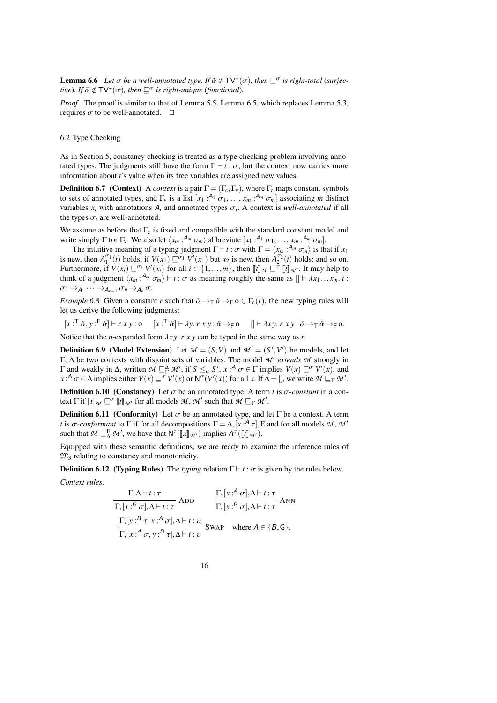**Lemma 6.6** *Let*  $\sigma$  *be a well-annotated type. If*  $\tilde{\alpha} \notin TV^+(\sigma)$ *, then*  $\sqsubseteq^{\sigma}$  *is right-total (surjective) If*  $\tilde{\alpha} \notin TV^-(\sigma)$  *then*  $\sqsubset^{\sigma}$  *is right-unique (functional) tive*)*. If*  $\tilde{\alpha} \notin TV^-(\sigma)$ *, then*  $\sqsubseteq^{\sigma}$  *is right-unique* (*functional*)*.* 

*Proof* The proof is similar to that of Lemma 5.5. Lemma 6.5, which replaces Lemma 5.3, requires  $\sigma$  to be well-annotated.  $\square$ 

### 6.2 Type Checking

As in Section 5, constancy checking is treated as a type checking problem involving annotated types. The judgments still have the form  $\Gamma \vdash t : \sigma$ , but the context now carries more information about *t*'s value when its free variables are assigned new values.

**Definition 6.7** (Context) A *context* is a pair  $\Gamma = (\Gamma_c, \Gamma_v)$ , where  $\Gamma_c$  maps constant symbols to sets of annotated types, and  $\Gamma_v$  is a list  $[x_1 :^{A_1} \sigma_1, ..., x_m :^{A_m} \sigma_m]$  associating *m* distinct variables *x*, with annotations *A*, and annotated types  $\sigma$ . A context is well-annotated if all variables  $x_i$  with annotations  $A_i$  and annotated types  $\sigma_i$ . A context is *well-annotated* if all the types  $\sigma_i$  are well-annotated the types  $\sigma_i$  are well-annotated.

We assume as before that  $\Gamma_c$  is fixed and compatible with the standard constant model and write simply  $\Gamma$  for  $\Gamma_v$ . We also let  $\langle x_m : A_m \sigma_m \rangle$  abbreviate  $[x_1 : A_1 \sigma_1, ..., x_m : A_m \sigma_m]$ .<br>The intuitive meaning of a typing judgment  $\Gamma \vdash t : \sigma$  with  $\Gamma \vdash (x \cdot A_m \sigma)$  is the

The intuitive meaning of a typing judgment  $\Gamma \vdash t : \sigma$  with  $\Gamma = \langle x_m :^{A_m} \sigma_m \rangle$  is that if  $x_1$  is new, then  $A_1^{\sigma_1}(t)$  holds; if  $V(x_1) \sqsubseteq^{\sigma_1} V'(x_1)$  but  $x_2$  is new, then  $A_2^{\sigma_2}(t)$  holds; and so on. The intuitive meaning of a typing judgment  $\Gamma \vdash t : \sigma$  with  $\Gamma = \langle x_m : A_m \sigma_m \rangle$  is that if  $x_1$ Furthermore, if  $V(x_i) \sqsubseteq^{\sigma_i} V'(x_i)$  for all  $i \in \{1, \ldots, m\}$ , then  $\llbracket t \rrbracket_{\mathcal{M}} \sqsubseteq^{\sigma} \llbracket t \rrbracket_{\mathcal{M}}$ . It may help to think of a judgment  $(x \cdot \mathcal{A}_m \sigma) \models t \colon \sigma$  as meaning roughly the same as  $\mathbb{I} \models \{x, \ldots, x, t\}$ think of a judgment  $\langle x_m : A_m \sigma_m \rangle \vdash t : \sigma$  as meaning roughly the same as  $[] \vdash \lambda x_1 \dots x_m$ . *t* :  $\sigma_1 \rightarrow_{A_1} \cdots \rightarrow_{A_{n-1}} \sigma_n \rightarrow_{A_n} \sigma.$ 

*Example 6.8* Given a constant *r* such that  $\tilde{\alpha} \rightarrow \tau \tilde{\alpha} \rightarrow \tau$  o  $\in \Gamma_c(r)$ , the new typing rules will let us derive the following judgments:

 $[x: \overline{\ } \tilde{\alpha}, y: \overline{\ } \tilde{\alpha}] \vdash r \ x y: o \quad [x: \overline{\ } \tilde{\alpha}] \vdash \lambda y. r \ x y: \tilde{\alpha} \rightarrow_{\mathsf{F}} o \quad [] \vdash \lambda xy. r \ x y: \tilde{\alpha} \rightarrow_{\mathsf{T}} \tilde{\alpha} \rightarrow_{\mathsf{F}} o.$ 

Notice that the *η*-expanded form  $\lambda xy$ . *r x y* can be typed in the same way as *r*.

**Definition 6.9** (Model Extension) Let  $M = (S, V)$  and  $M' = (S', V')$  be models, and let  $\Gamma$  A be two contexts with disjoint sets of variables. The model  $M'$  *extends*  $M$  strongly in Γ, Δ be two contexts with disjoint sets of variables. The model *M' extends M* strongly in Γ and weakly in Δ, written  $M ⊒_1^{\Delta} M'$ , if  $S ⊆_{\tilde{\alpha}} S'$ ,  $x : A \sigma ∈ Γ$  implies  $V(x) ⊆ σ' V'(x)$ , and  $x : A \sigma ∈ Λ$  implies either  $V(x) ⊏ σ' V'(x)$  or  $Nσ(V'(x))$  for all  $x$  if  $Λ - ∥$  we write  $M ⊂_R M'$ .  $x: A \subset \Delta$  implies either  $V(x) \sqsubseteq^{\sigma} V'(x)$  or  $N^{\sigma}(V'(x))$  for all *x*. If  $\Delta = []$ , we write  $M \sqsubseteq_{\Gamma} M'$ .

**Definition 6.10 (Constancy)** Let  $\sigma$  be an annotated type. A term *t* is  $\sigma$ -*constant* in a context  $\Gamma$  if  $[[t]]_{\mathcal{M}} \sqsubseteq^{\sigma} [[t]]_{\mathcal{M}'}$  for all models  $\mathcal{M}, \mathcal{M}'$  such that  $\mathcal{M} \sqsubseteq_{\Gamma} \mathcal{M}'$ .

**Definition 6.11** (Conformity) Let  $\sigma$  be an annotated type, and let  $\Gamma$  be a context. A term *t* is *σ*-*conformant* to Γ if for all decompositions  $\Gamma = \Delta$ ,  $[x : A \tau]$ , E and for all models *M*, *M*<sup>*1*</sup> such that  $M \subset E M'$  we have that  $N^{\tau}(\llbracket x \rrbracket \llcorner \omega)$  implies  $A^{\sigma}(\llbracket x \rrbracket \llcorner \omega)$ such that  $M \sqsubseteq_{\Delta}^{\mathbb{E}} M'$ , we have that  $N^{\tau}(\llbracket x \rrbracket_{M'})$  implies  $A^{\sigma}(\llbracket t \rrbracket_{M'})$ .

Equipped with these semantic definitions, we are ready to examine the inference rules of  $\mathfrak{M}_3$  relating to constancy and monotonicity.

**Definition 6.12** (Typing Rules) The *typing* relation  $\Gamma \vdash t : \sigma$  is given by the rules below.

*Context rules:*

$$
\frac{\Gamma, \Delta \vdash t : \tau}{\Gamma, [x :^G \sigma], \Delta \vdash t : \tau} \text{ ADD} \qquad \frac{\Gamma, [x :^A \sigma], \Delta \vdash t : \tau}{\Gamma, [x :^G \sigma], \Delta \vdash t : \tau} \text{ ANN}
$$
\n
$$
\frac{\Gamma, [y :^B \tau, x :^A \sigma], \Delta \vdash t : v}{\Gamma, [x :^A \sigma, y :^B \tau], \Delta \vdash t : v} \text{ Swap} \quad \text{where } A \in \{B, G\}.
$$

16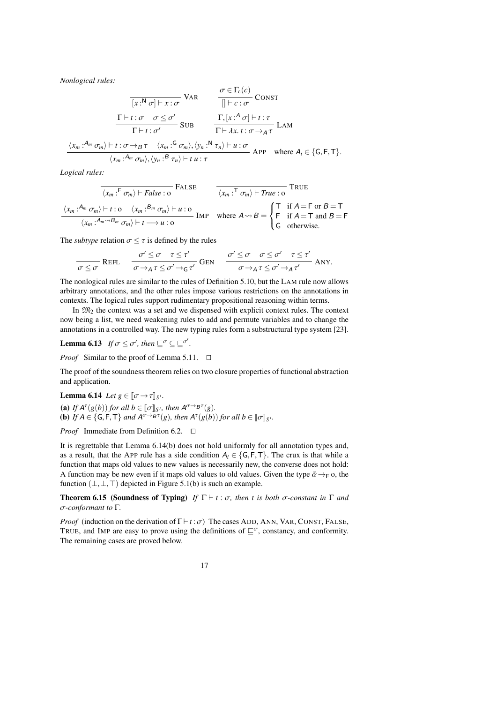*Nonlogical rules:*

$$
\frac{\sigma \in \Gamma_{c}(c)}{[x \cdot N \sigma] \vdash x : \sigma} \text{VAR} \qquad \frac{\sigma \in \Gamma_{c}(c)}{[] \vdash c : \sigma} \text{Const}
$$
\n
$$
\frac{\Gamma \vdash t : \sigma \quad \sigma \leq \sigma'}{\Gamma \vdash t : \sigma'} \text{SUB} \qquad \frac{\Gamma, [x \cdot A \sigma] \vdash t : \tau}{\Gamma \vdash \lambda x. t : \sigma \to_{A} \tau} \text{LAM}
$$
\n
$$
\frac{\langle x_{m} \cdot A_{m} \sigma_{m} \rangle \vdash t : \sigma \to_{B} \tau \quad \langle x_{m} \cdot S \sigma_{m} \rangle, \langle y_{n} \cdot N \tau_{n} \rangle \vdash u : \sigma}{\langle x_{m} \cdot A_{m} \sigma_{m} \rangle, \langle y_{n} \cdot B \tau_{n} \rangle \vdash t u : \tau} \text{APP} \text{ where } A_{i} \in \{G, F, T\}.
$$

*Logical rules:*

$$
\frac{\langle x_m : {}^{\mathsf{F}} \sigma_m \rangle \vdash False : \mathsf{o}}{\langle x_m : {}^{\mathsf{F}} \sigma_m \rangle \vdash t : \mathsf{o} \quad \langle x_m : {}^{\mathsf{F}} \sigma_m \rangle \vdash u : \mathsf{o}} \qquad \frac{\langle x_m : {}^{\mathsf{F}} \sigma_m \rangle \vdash t : \mathsf{o} \quad \langle x_m : {}^{\mathsf{F}} \sigma_m \rangle \vdash u : \mathsf{o}}{\langle x_m : {}^{\mathsf{A}} \cdots {}^{\mathsf{B}} \sigma_m \rangle \vdash t \longrightarrow u : \mathsf{o}} \text{IMP where } A \leadsto B = \begin{cases} \mathsf{T} & \text{if } A = \mathsf{F} \text{ or } B = \mathsf{T} \\ \mathsf{F} & \text{if } A = \mathsf{T} \text{ and } B = \mathsf{F} \\ \mathsf{G} & \text{otherwise.} \end{cases}
$$

The *subtype* relation  $\sigma \leq \tau$  is defined by the rules

$$
\frac{\sigma' \leq \sigma \quad \tau \leq \tau'}{\sigma \Rightarrow_{A} \tau \leq \sigma' \Rightarrow_{G} \tau'} \text{ Gen} \quad \frac{\sigma' \leq \sigma \quad \sigma \leq \sigma' \quad \tau \leq \tau'}{\sigma \Rightarrow_{A} \tau \leq \sigma' \Rightarrow_{A} \tau'}
$$
 Any.

The nonlogical rules are similar to the rules of Definition 5.10, but the LAM rule now allows arbitrary annotations, and the other rules impose various restrictions on the annotations in contexts. The logical rules support rudimentary propositional reasoning within terms.

In  $\mathfrak{M}_2$  the context was a set and we dispensed with explicit context rules. The context now being a list, we need weakening rules to add and permute variables and to change the annotations in a controlled way. The new typing rules form a substructural type system [23].

**Lemma 6.13** *If*  $\sigma \leq \sigma'$ , then  $\sqsubseteq^{\sigma} \subseteq \sqsubseteq^{\sigma'}$ .

*Proof* Similar to the proof of Lemma 5.11.  $\Box$ 

The proof of the soundness theorem relies on two closure properties of functional abstraction and application.

**Lemma 6.14** *Let*  $g \in [\![ \sigma \rightarrow \tau ]\!]_{S'}$ . (a) If  $A^{\tau}(g(b))$  for all  $b \in [\![\sigma]\!]_{S'}$ , then  $A^{\sigma \to B^{\tau}}(g)$ .<br>(b) If  $A \subseteq G \in \top \cup \text{and } A^{\sigma \to B^{\tau}(g)}$ , then  $A^{\tau}(g(b))$ **(b)** *If*  $A \in \{G, F, T\}$  *and*  $A^{\sigma \to B^T}(g)$ *, then*  $A^T(g(b))$  *for all*  $b \in [\![\sigma]\!]_{S'}$ *.* 

*Proof* Immediate from Definition 6.2.  $\Box$ 

It is regrettable that Lemma 6.14(b) does not hold uniformly for all annotation types and, as a result, that the APP rule has a side condition  $A_i \in \{G, F, T\}$ . The crux is that while a function that maps old values to new values is necessarily new, the converse does not hold: A function may be new even if it maps old values to old values. Given the type  $\tilde{\alpha} \rightarrow_F 0$ , the function  $(\perp, \perp, \perp)$  depicted in Figure 5.1(b) is such an example.

**Theorem 6.15** (Soundness of Typing) *If*  $\Gamma \vdash t : \sigma$ , then *t* is both  $\sigma$ -constant in  $\Gamma$  and σ*-conformant to* <sup>Γ</sup>*.*

*Proof* (induction on the derivation of  $\Gamma \vdash t : \sigma$ ) The cases ADD, ANN, VAR, CONST, FALSE, TRUE, and IMP are easy to prove using the definitions of  $\subseteq^{\sigma}$ , constancy, and conformity. The remaining cases are proved below.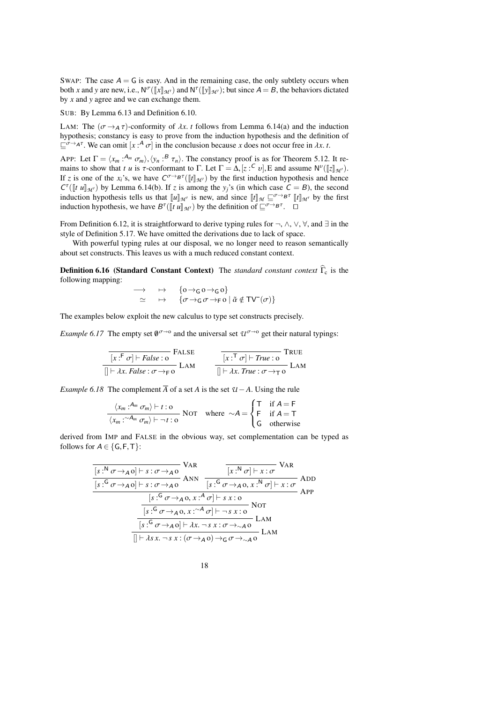SWAP: The case  $A = G$  is easy. And in the remaining case, the only subtlety occurs when both *x* and *y* are new, i.e.,  $N^{\sigma}([\![x]\!]_{\mathcal{M}})$  and  $N^{\tau}([\![y]\!]_{\mathcal{M}})$ ; but since  $A = B$ , the behaviors dictated by *x* and *y* agree and *y* agen axebange them by *x* and *y* agree and we can exchange them.

SUB: By Lemma 6.13 and Definition 6.10.

LAM: The  $(\sigma \rightarrow_A \tau)$ -conformity of  $\lambda x$ . *t* follows from Lemma 6.14(a) and the induction hypothesis; constancy is easy to prove from the induction hypothesis and the definition of  $\subseteq^{\sigma\to_{\mathcal{A}}\tau}$ . We can omit [*x* : <sup>*A*</sup>  $\sigma$ ] in the conclusion because *x* does not occur free in  $\lambda x$ . *t*.

APP: Let  $\Gamma = \langle x_m : A_m \sigma_m \rangle$ ,  $\langle y_n : B \tau_n \rangle$ . The constancy proof is as for Theorem 5.12. It re-<br>mains to show that *t u* is  $\tau$ -conformant to  $\Gamma$  Let  $\Gamma - \Lambda$  [ $\tau$  · C<sub>xi</sub>] E and assume  $N^{\nu}(\mathbb{F}_{\tau} | \mathbf{x}, \tau)$ mains to show that *t u* is  $\tau$ -conformant to Γ. Let  $\Gamma = \Delta$ ,  $[z^c]$   $v$ , E and assume  $N^{\nu}([\![z]\!]_{\mathcal{M}})$ . If *z* is one of the *x*<sub>*i*</sub>'s, we have  $C^{\sigma \to B^{\tau}}([t]_{\mathcal{M}})$  by the first induction hypothesis and hence  $C^{\tau}([t \times t]_{\mathcal{M}})$  by Lamma 6.14(b). If *z* is among the *x*<sup>3</sup><sub>0</sub> (in which asses  $C = B$ ), the second  $C^{\tau}(\llbracket t \llbracket u \rrbracket_{\mathcal{M}})$  by Lemma 6.14(b). If *z* is among the *yj*'s (in which case  $C = B$ ), the second<br>induction hypothesis talls us that  $\llbracket u \rrbracket$  is now and since  $\llbracket t \rrbracket = \sigma \rightarrow p\tau \llbracket u \rrbracket$  by the first induction hypothesis tells us that  $[\![u]\!]_{\mathcal{M}}$  is new, and since  $[\![t]\!]_{\mathcal{M}} \subseteq^{\sigma \to B\tau} [\![t]\!]_{\mathcal{M}}'$  by the first induction hypothesis we have  $B^{\tau}(\![t]\!]_{\mathcal{M}}'$  is the definition of  $\subseteq^{\sigma \to B\tau} \square$ induction hypothesis, we have  $B^{\tau}(\llbracket t \, u \rrbracket_{\mathcal{M}})$  by the definition of  $\sqsubseteq^{\sigma \to B^{\tau}}$ .  $\Box$ 

From Definition 6.12, it is straightforward to derive typing rules for ¬, ∧, ∨, ∀, and ∃ in the style of Definition 5.17. We have omitted the derivations due to lack of space.

With powerful typing rules at our disposal, we no longer need to reason semantically about set constructs. This leaves us with a much reduced constant context.

**Definition 6.16 (Standard Constant Context)** The *standard constant context*  $\hat{\Gamma}_{c}$  is the following mapping:

$$
\rightarrow \quad \rightarrow \quad \{o \rightarrow_{G} o \rightarrow_{G} o\}
$$
\n
$$
\simeq \quad \rightarrow \quad \{\sigma \rightarrow_{G} \sigma \rightarrow_{F} o \mid \tilde{\alpha} \notin \text{TV}^{-}(\sigma)\}
$$

The examples below exploit the new calculus to type set constructs precisely.

*Example 6.17* The empty set  $\theta^{\sigma \to 0}$  and the universal set  $\theta^{\sigma \to 0}$  get their natural typings:

$$
\frac{\overline{[x : F \sigma] \vdash False : o}}{[] \vdash \lambda x. \, False : \sigma \rightarrow_{F} o} \quad \text{LAM}
$$
\n
$$
\frac{\overline{[x : T \sigma] \vdash True : o}}{[] \vdash \lambda x. \, True : \sigma \rightarrow_{T} o} \quad \text{LAM}
$$

*Example 6.18* The complement  $\overline{A}$  of a set *A* is the set  $\mathcal{U} - A$ . Using the rule

$$
\frac{\langle x_m :^{A_m} \sigma_m \rangle \vdash t : \text{o}}{\langle x_m :^{A_m} \sigma_m \rangle \vdash \neg t : \text{o}} \text{NOT} \quad \text{where} \quad \sim A = \begin{cases} \top & \text{if } A = \text{F} \\ \text{F} & \text{if } A = \text{T} \\ \text{G} & \text{otherwise} \end{cases}
$$

derived from IMP and FALSE in the obvious way, set complementation can be typed as follows for  $A \in \{G, F, T\}$ :

$$
\frac{\begin{array}{c}\n[s \stackrel{.}{\cdot} N \stackrel{\frown}{\sigma} \rightarrow_{A} o] \vdash s : \sigma \rightarrow_{A} o \\
[s \stackrel{.}{\cdot} S \stackrel{\frown}{\sigma} \rightarrow_{A} o] \vdash s : \sigma \rightarrow_{A} o \\
\hline\n s \stackrel{.}{\cdot} S \stackrel{\frown}{\sigma} \rightarrow_{A} o], \quad s \stackrel{\frown}{\cdot} S \stackrel{\frown}{\sigma} \rightarrow_{A} o, \quad s \stackrel{\frown}{\cdot} S \stackrel{\frown}{\sigma} \rightarrow_{A} o, \quad s \stackrel{\frown}{\cdot} N \stackrel{\frown}{\sigma} \rbrack \vdash x : \sigma}{\begin{array}{c}\n[s \stackrel{.}{\cdot} S \stackrel{\frown}{\sigma} \rightarrow_{A} o, x : \stackrel{\frown}{\cdot} A \stackrel{\frown}{\sigma} \rbrack \vdash s x : o \\
\hline\n[s \stackrel{.}{\cdot} S \stackrel{\frown}{\sigma} \rightarrow_{A} o, x : \stackrel{\frown}{\cdot} A \stackrel{\frown}{\sigma} \rbrack \vdash \neg s x : o \\
\hline\n[s \stackrel{.}{\cdot} S \stackrel{\frown}{\sigma} \rightarrow_{A} o] \vdash \lambda x \stackrel{\frown}{\cdot} S x : \sigma \rightarrow_{\sim A} o \\
\hline\n\hline\n\end{array}\n\end{array}\n\quad\n\text{APP}
$$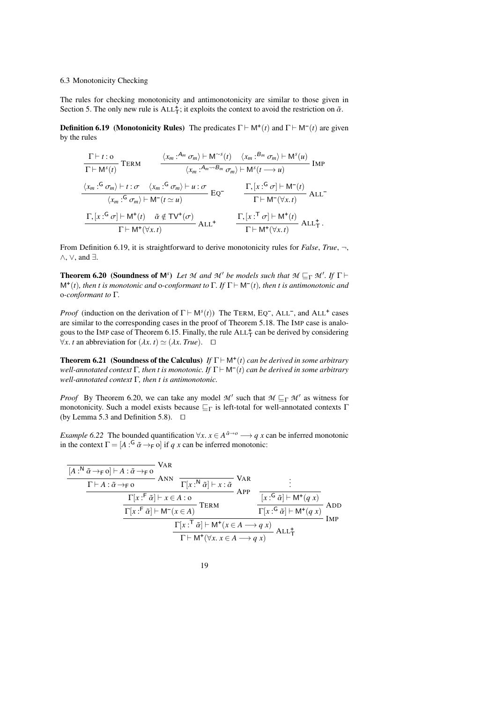# 6.3 Monotonicity Checking

The rules for checking monotonicity and antimonotonicity are similar to those given in Section 5. The only new rule is  $ALL^+$ ; it exploits the context to avoid the restriction on  $\tilde{\alpha}$ .

**Definition 6.19** (Monotonicity Rules) The predicates  $\Gamma \vdash M^+(t)$  and  $\Gamma \vdash M^-(t)$  are given by the rules

$$
\frac{\Gamma \vdash t : \mathbf{o}}{\Gamma \vdash \mathsf{M}^{s}(t)} \text{TERM} \qquad \frac{\langle x_{m} :^{A_{m}} \sigma_{m} \rangle \vdash \mathsf{M}^{\sim s}(t) \quad \langle x_{m} :^{B_{m}} \sigma_{m} \rangle \vdash \mathsf{M}^{s}(u)}{\langle x_{m} :^{A_{m} \sim B_{m}} \sigma_{m} \rangle \vdash \mathsf{M}^{s}(t \rightarrow u)} \text{IMP}
$$
\n
$$
\frac{\langle x_{m} :^{G} \sigma_{m} \rangle \vdash t : \sigma \quad \langle x_{m} :^{G} \sigma_{m} \rangle \vdash u : \sigma}{\langle x_{m} :^{G} \sigma_{m} \rangle \vdash \mathsf{M}^{-}(t \simeq u)} \text{EQ} \qquad \frac{\Gamma, [x :^{G} \sigma] \vdash \mathsf{M}^{-}(t)}{\Gamma \vdash \mathsf{M}^{-}(\forall x. t)} \text{ALL}^{-}
$$
\n
$$
\frac{\Gamma, [x :^{G} \sigma] \vdash \mathsf{M}^{+}(t) \quad \tilde{\alpha} \notin \mathsf{TV}^{+}(\sigma)}{\Gamma \vdash \mathsf{M}^{+}(\forall x. t)} \text{ALL}^{+} \qquad \frac{\Gamma, [x :^{T} \sigma] \vdash \mathsf{M}^{+}(t)}{\Gamma \vdash \mathsf{M}^{+}(\forall x. t)} \text{ ALL}^{+}.
$$

From Definition 6.19, it is straightforward to derive monotonicity rules for *False*, *True*, ¬, ∧, ∨, and ∃.

**Theorem 6.20** (Soundness of M<sup>*s*</sup>) *Let*  $M$  *and*  $M'$  *be models such that*  $M \sqsubseteq_{\Gamma} M'$ *. If*  $\Gamma \vdash$  $M^+(t)$ , then *t* is monotonic and  $\text{o-conformant to } \Gamma$ . If  $\Gamma \vdash M^-(t)$ , then *t* is antimonotonic and o*-conformant to* Γ*.*

*Proof* (induction on the derivation of  $\Gamma \vdash M^s(t)$ ) The TERM, EQ<sup>-</sup>, ALL<sup>-</sup>, and ALL<sup>+</sup> cases are similar to the corresponding cases in the proof of Theorem 5.18. The IMP case is analogous to the IMP case of Theorem 6.15. Finally, the rule  $ALL_{T}^{+}$  can be derived by considering *∀x*. *t* an abbreviation for  $(\lambda x. t) \simeq (\lambda x. True)$ . □

**Theorem 6.21** (Soundness of the Calculus) *If*  $\Gamma \vdash M^+(t)$  *can be derived in some arbitrary well-annotated context* Γ*, then t is monotonic. If* Γ ` M– (*t*) *can be derived in some arbitrary well-annotated context* Γ*, then t is antimonotonic.*

*Proof* By Theorem 6.20, we can take any model  $M'$  such that  $M \sqsubseteq_{\Gamma} M'$  as witness for monotonicity. Such a model exists because  $\sqsubseteq_{\Gamma}$  is left-total for well-annotated contexts Γ (by Lemma 5.3 and Definition 5.8).  $\Box$ 

*Example 6.22* The bounded quantification  $\forall x$ .  $x \in A^{\tilde{\alpha} \to 0} \longrightarrow q$  *x* can be inferred monotonic in the context  $\Gamma = [4 \cdot 9 \tilde{\alpha} \rightarrow \infty]$  if *a x* can be inferred monotonic. in the context  $\Gamma = [A : G \tilde{\alpha} \rightarrow_F o]$  if *q x* can be inferred monotonic:

$$
\frac{\frac{\left[A : N \tilde{\alpha} \to_{F} o\right] \vdash A : \tilde{\alpha} \to_{F} o}{\Gamma \vdash A : \tilde{\alpha} \to_{F} o}}{\frac{\Gamma \vdash A : \tilde{\alpha} \to_{F} o}{\Gamma[x : \tilde{\alpha}] \vdash x \in A : o}}{\frac{\Gamma[x : \tilde{\alpha}] \vdash x \in A : o}{\frac{\Gamma[x : \tilde{\alpha}] \vdash M^{-}(x \in A)}{\Gamma[x : \tilde{\alpha}] \vdash M^{+}(x \in A)}} \frac{\frac{\Gamma[x : \tilde{\alpha}] \vdash M^{+}(q x)}{\Gamma[x : \tilde{\alpha}] \vdash M^{+}(q x)}}{\Gamma[x : \tilde{\alpha}] \vdash M^{+}(x \in A \to q x)} \text{ADD}
$$
\n
$$
\frac{\frac{\Gamma[x : T \tilde{\alpha}] \vdash M^{+}(x \in A \to q x)}{\Gamma \vdash M^{+}(x \in A \to q x)} \text{ALL}^{+}_{T}}{\Gamma \vdash M^{+}(x \in A \to q x)} \text{ILL}^{+}_{T}}
$$

19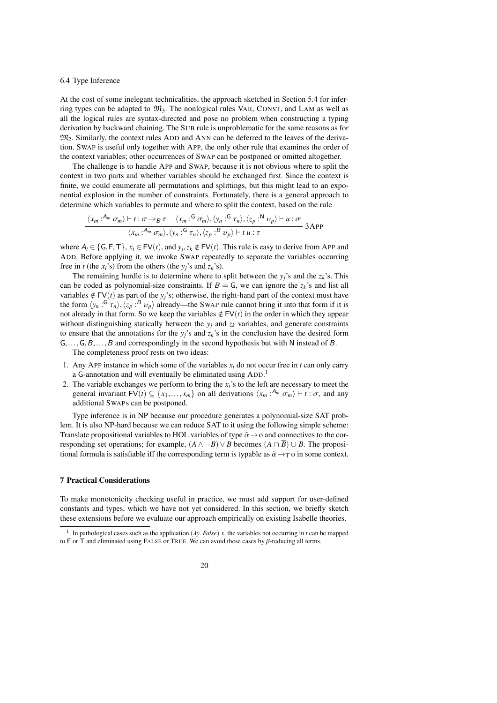# 6.4 Type Inference

At the cost of some inelegant technicalities, the approach sketched in Section 5.4 for inferring types can be adapted to  $\mathfrak{M}_3$ . The nonlogical rules VAR, CONST, and LAM as well as all the logical rules are syntax-directed and pose no problem when constructing a typing derivation by backward chaining. The SUB rule is unproblematic for the same reasons as for  $\mathfrak{M}_2$ . Similarly, the context rules ADD and ANN can be deferred to the leaves of the derivation. SWAP is useful only together with APP, the only other rule that examines the order of the context variables; other occurrences of SWAP can be postponed or omitted altogether.

The challenge is to handle APP and SWAP, because it is not obvious where to split the context in two parts and whether variables should be exchanged first. Since the context is finite, we could enumerate all permutations and splittings, but this might lead to an exponential explosion in the number of constraints. Fortunately, there is a general approach to determine which variables to permute and where to split the context, based on the rule

$$
\frac{\langle x_m :^{A_m} \sigma_m \rangle \vdash t : \sigma \rightarrow_B \tau \quad \langle x_m : ^G \sigma_m \rangle, \langle y_n : ^G \tau_n \rangle, \langle z_p : ^N \nu_p \rangle \vdash u : \sigma}{\langle x_m : ^{A_m} \sigma_m \rangle, \langle y_n : ^G \tau_n \rangle, \langle z_p : ^B \nu_p \rangle \vdash t \ u : \tau}
$$
3APP

where  $A_i \in \{G, F, T\}$ ,  $x_i \in FV(t)$ , and  $y_j, z_k \notin FV(t)$ . This rule is easy to derive from APP and ADD. Before applying it, we invoke SWAP repeatedly to separate the variables occurring ADD. Before applying it, we invoke SWAP repeatedly to separate the variables occurring free in *t* (the  $x_i$ 's) from the others (the  $y_i$ 's and  $z_k$ 's).

The remaining hurdle is to determine where to split between the  $y_i$ 's and the  $z_k$ 's. This can be coded as polynomial-size constraints. If  $B = G$ , we can ignore the  $z_k$ 's and list all variables  $\notin$  FV(*t*) as part of the *y<sub>j</sub>*'s; otherwise, the right-hand part of the context must have the form  $\langle y_n : G \tau_n \rangle$ ,  $\langle z_p : B \nu_p \rangle$  already—the SWAP rule cannot bring it into that form if it is<br>not already in that form. So we keen the variables  $\sigma$  EV(t) in the order in which they appear not already in that form. So we keep the variables  $\notin FV(t)$  in the order in which they appear without distinguishing statically between the  $y_j$  and  $z_k$  variables, and generate constraints to ensure that the annotations for the  $y_i$ 's and  $z_k$ 's in the conclusion have the desired form  $G, \ldots, G, B, \ldots, B$  and correspondingly in the second hypothesis but with N instead of B.

The completeness proof rests on two ideas:

- 1. Any APP instance in which some of the variables  $x_i$  do not occur free in  $t$  can only carry a G-annotation and will eventually be eliminated using ADD.<sup>1</sup>
- 2. The variable exchanges we perform to bring the  $x_i$ 's to the left are necessary to meet the general invariant  $FV(t) \subseteq \{x_1, \ldots, x_m\}$  on all derivations  $\langle x_m : A_m \sigma_m \rangle \vdash t : \sigma$ , and any additional SWAPs can be nostnoned additional SWAPs can be postponed.

Type inference is in NP because our procedure generates a polynomial-size SAT problem. It is also NP-hard because we can reduce SAT to it using the following simple scheme: Translate propositional variables to HOL variables of type  $\tilde{\alpha} \rightarrow 0$  and connectives to the corresponding set operations; for example,  $(A \land \neg B) \lor B$  becomes  $(A \cap \overline{B}) \cup B$ . The propositional formula is satisfiable iff the corresponding term is typable as  $\tilde{\alpha} \rightarrow \tau$  o in some context.

### 7 Practical Considerations

To make monotonicity checking useful in practice, we must add support for user-defined constants and types, which we have not yet considered. In this section, we briefly sketch these extensions before we evaluate our approach empirically on existing Isabelle theories.

<sup>&</sup>lt;sup>1</sup> In pathological cases such as the application  $(\lambda y. False) x$ , the variables not occurring in *t* can be mapped  $\overline{F}$  or  $\overline{T}$  and eliminated using  $FAI SE$  or  $TPIIE$ . We can avoid these cases by *B*-reducing all terms to F or T and eliminated using FALSE or TRUE. We can avoid these cases by  $\beta$ -reducing all terms.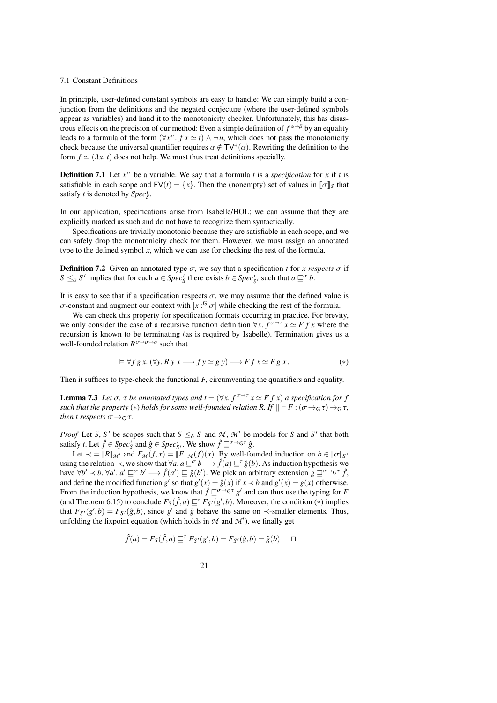# 7.1 Constant Definitions

In principle, user-defined constant symbols are easy to handle: We can simply build a conjunction from the definitions and the negated conjecture (where the user-defined symbols appear as variables) and hand it to the monotonicity checker. Unfortunately, this has disastrous effects on the precision of our method: Even a simple definition of  $f^{\alpha \rightarrow \beta}$  by an equality leads to a formula of the form  $(\forall x^{\alpha} \cdot f \cdot x \simeq t) \wedge \neg u$ , which does not pass the monotonicity<br>check because the universal quantifier requires  $\alpha \notin TV^+(\alpha)$ . Rewriting the definition to the check because the universal quantifier requires  $\alpha \notin TV^+(\alpha)$ . Rewriting the definition to the form  $f \sim (\lambda x, t)$  does not help. We must thus treat definitions specially form  $f \simeq (\lambda x, t)$  does not help. We must thus treat definitions specially.

**Definition 7.1** Let  $x^{\sigma}$  be a variable. We say that a formula *t* is a *specification* for *x* if *t* is satisfiable in each scope and  $FV(t) = \{x\}$ . Then the (nonempty) set of values in  $\llbracket \sigma \rrbracket_S$  that satisfy *t* is denoted by  $Spec<sup>t</sup><sub>S</sub>$ .

In our application, specifications arise from Isabelle/HOL; we can assume that they are explicitly marked as such and do not have to recognize them syntactically.

Specifications are trivially monotonic because they are satisfiable in each scope, and we can safely drop the monotonicity check for them. However, we must assign an annotated type to the defined symbol *x*, which we can use for checking the rest of the formula.

**Definition 7.2** Given an annotated type  $\sigma$ , we say that a specification *t* for *x respects*  $\sigma$  if  $S \leq_{\tilde{\alpha}} S'$  implies that for each  $a \in Spec_S^t$  there exists  $b \in Spec_{S'}^t$  such that  $a \sqsubseteq^{\sigma} b$ .

It is easy to see that if a specification respects  $\sigma$ , we may assume that the defined value is σ-constant and augment our context with  $[x : G]$  while checking the rest of the formula.<br>We can check this property for specification formats occurring in practice. For brevi

We can check this property for specification formats occurring in practice. For brevity, we only consider the case of a recursive function definition  $\forall x \, f^{\sigma \to \tau} x \simeq F f x$  where the recursion is known to be terminating (as is required by Isabelle). Termination gives us a recursion is known to be terminating (as is required by Isabelle). Termination gives us a well-founded relation  $R^{\sigma \to \sigma \to \sigma}$  such that

$$
\vDash \forall f \, g \, x. \, (\forall y. \, R \, y \, x \longrightarrow f \, y \simeq g \, y) \longrightarrow F \, f \, x \simeq F \, g \, x. \tag{*}
$$

Then it suffices to type-check the functional *F*, circumventing the quantifiers and equality.

**Lemma 7.3** *Let*  $\sigma$ ,  $\tau$  *be annotated types and*  $t = (\forall x. f^{\sigma \to \tau} x \simeq F f x)$  *a specification for f* such that the property  $(*)$  holds for some well-founded relation R. If  $\theta \models F : (\tau \to \epsilon \tau) \to \epsilon \tau$ *such that the property* (\*) *holds for some well-founded relation R. If*  $[$   $\vdash$  *F* :  $(\sigma \rightarrow_{\mathsf{G}} \tau) \rightarrow_{\mathsf{G}} \tau$ , *then t respects*  $\sigma \rightarrow \infty$  *τ.* 

*Proof* Let *S*, *S*<sup> $\prime$ </sup> be scopes such that  $S \leq_{\tilde{\alpha}} S$  and *M*, *M*<sup> $\prime$ </sup> be models for *S* and *S*<sup> $\prime$ </sup> that both sotisfy t Let  $\hat{\beta} \subseteq$  Speed, and  $\hat{\alpha} \subseteq$  Speed, We show  $\hat{\beta} \subseteq \sigma^{\prime}$ satisfy *t*. Let  $\hat{f} \in \text{Spec}^t_S$  and  $\hat{g} \in \text{Spec}^t_{S'}$ . We show  $\hat{f} \sqsubseteq^{\sigma \to} \mathsf{G}^\tau \hat{g}$ .

Let  $\prec$  =  $[\![R]\!]_{\mathcal{M}'}$  and  $F_{\mathcal{M}}(f, x) = [\![F]\!]_{\mathcal{M}}(f)(x)$ . By well-founded induction on  $b \in [\![\sigma]\!]_S$ <br>of the relation  $\prec$  we show that  $\forall a, a \sqsubset^{\sigma} b \longrightarrow \hat{f}(a) \sqsubset^{\tau} \hat{g}(b)$ . As induction hypothesis w Let  $\prec = \llbracket R \rrbracket_{\mathcal{M}'}$  and  $F_{\mathcal{M}}(f, x) = \llbracket F \rrbracket_{\mathcal{M}}(f)(x)$ . By well-founded induction on  $b \in \llbracket \sigma \rrbracket_{S'}$ using the relation  $\prec$ , we show that  $\forall a$ .  $a \sqsubseteq^{\sigma} b \longrightarrow \hat{f}(a) \sqsubseteq^{\tau} \hat{g}(b)$ . As induction hypothesis we have  $\forall b' \prec b$ .  $\forall a'$ .  $a' \sqsubseteq^{\sigma} b' \longrightarrow \hat{f}(a') \sqsubseteq \hat{g}(b')$ . We pick an arbitrary extension  $g \sqsupset^{\sigma \rightarrow} \in^{\tau} \hat{f}$ and define the modified function *g*' so that  $g'(x) = \hat{g}(x)$  if  $x \prec b$  and  $g'(x) = g(x)$  otherwise. From the induction hypothesis, we know that  $\hat{f} \subseteq^{\sigma \to} G^{\tau} g'$  and can thus use the typing for *F* (and Theorem 6.15) to conclude  $F_S(\hat{f}, a) \sqsubseteq^T F_{S'}(g', b)$ . Moreover, the condition (∗) implies<br>that  $F_{\sigma'}(g', b) = F_{\sigma'}(\hat{a}, b)$  since  $g'$  and  $\hat{a}$  behave the same on  $\prec$ -smaller elements. Thus that  $F_{S'}(g',b) = F_{S'}(\hat{g},b)$ , since  $g'$  and  $\hat{g}$  behave the same on  $\prec$ -smaller elements. Thus, unfolding the fixpoint equation (which holds in  $M$  and  $M'$ ), we finally get

$$
\hat{f}(a) = F_S(\hat{f}, a) \sqsubseteq^{\tau} F_{S'}(g', b) = F_{S'}(\hat{g}, b) = \hat{g}(b).
$$

21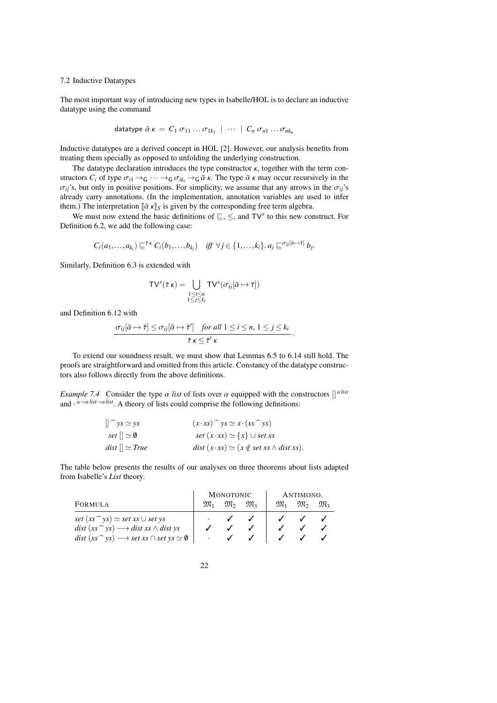# 7.2 Inductive Datatypes

The most important way of introducing new types in Isabelle/HOL is to declare an inductive datatype using the command

$$
\text{datatype } \bar{\alpha} \kappa = C_1 \sigma_{11} \ldots \sigma_{1k_1} \mid \cdots \mid C_n \sigma_{n1} \ldots \sigma_{nk_n}
$$

Inductive datatypes are a derived concept in HOL [2]. However, our analysis benefits from treating them specially as opposed to unfolding the underlying construction.

The datatype declaration introduces the type constructor  $\kappa$ , together with the term constructors  $C_i$  of type  $\sigma_{i1} \rightarrow_G \cdots \rightarrow_G \sigma_{ik_i} \rightarrow_G \bar{\alpha} \kappa$ . The type  $\bar{\alpha} \kappa$  may occur recursively in the  $\sigma_{ij}$ 's, but only in positive positions. For simplicity, we assume that any arrows in the  $\sigma_{ij}$ 's already carry annotations. (In the implementation, annotation variables are used to infer them.) The interpretation  $\left[\bar{\alpha} \kappa\right]_S$  is given by the corresponding free term algebra.

We must now extend the basic definitions of  $\subseteq$ ,  $\le$ , and TV<sup>s</sup> to this new construct. For Definition 6.2, we add the following case:

$$
C_i(a_1,\ldots,a_{k_i})\sqsubseteq^{\bar{\tau}\kappa}C_i(b_1,\ldots,b_{k_i})\quad \text{iff}\ \forall j\in\{1,\ldots,k_i\}\ldotp a_j\sqsubseteq^{\sigma_{ij}[\bar{\alpha}\mapsto\bar{\tau}]}b_j.
$$

Similarly, Definition 6.3 is extended with

$$
\mathsf{TV}^s(\bar{\tau}\,\kappa)=\bigcup_{\substack{1\leq i\leq n\\1\leq j\leq k_i}}\mathsf{TV}^s(\sigma_{ij}[\bar{\alpha}\mapsto\bar{\tau}])
$$

and Definition 6.12 with

$$
\frac{\sigma_{ij}[\bar{\alpha}\mapsto\bar{\tau}]\leq\sigma_{ij}[\bar{\alpha}\mapsto\bar{\tau}']\quad\text{for all }1\leq i\leq n,\,1\leq j\leq k_i}{\bar{\tau}\,\kappa\leq\bar{\tau}'\,\kappa}.
$$

To extend our soundness result, we must show that Lemmas 6.5 to 6.14 still hold. The proofs are straightforward and omitted from this article. Constancy of the datatype constructors also follows directly from the above definitions.

*Example 7.4* Consider the type  $\alpha$  *list* of lists over  $\alpha$  equipped with the constructors  $\int_{0}^{\alpha}$  list and  $\cdot^{\alpha \rightarrow \alpha \text{ list} \rightarrow \alpha \text{ list}}$ . A theory of lists could comprise the following definitions:

| $\bigcap$ ys $\simeq$ ys | $(x \cdot xs)$ $ys \simeq x \cdot (xs \cap ys)$             |
|--------------------------|-------------------------------------------------------------|
| set $\ \simeq \emptyset$ | $set(x \cdot xs) \simeq \{x\} \cup setxs$                   |
| dist $   \simeq True$    | dist $(x \cdot xs) \simeq (x \notin set xs \land dist xs).$ |

The table below presents the results of our analyses on three theorems about lists adapted from Isabelle's *List* theory.

|                                                                         | <b>MONOTONIC</b> |                    |                  | ANTIMONO.        |                    |                  |
|-------------------------------------------------------------------------|------------------|--------------------|------------------|------------------|--------------------|------------------|
| FORMULA                                                                 | $\mathfrak{M}_1$ | $\mathfrak{M}_{2}$ | $\mathfrak{M}_3$ | $\mathfrak{M}_1$ | $\mathfrak{M}_{2}$ | $\mathfrak{M}_3$ |
| set $(xs \cap ys) \simeq set xs \cup set ys$                            |                  |                    |                  |                  |                    |                  |
| $dist (xs \cap ys) \longrightarrow dist xs \wedge dist ys$              |                  |                    |                  |                  |                    |                  |
| $dist (xs \cap ys) \longrightarrow set xs \cap set ys \simeq \emptyset$ |                  |                    |                  |                  |                    |                  |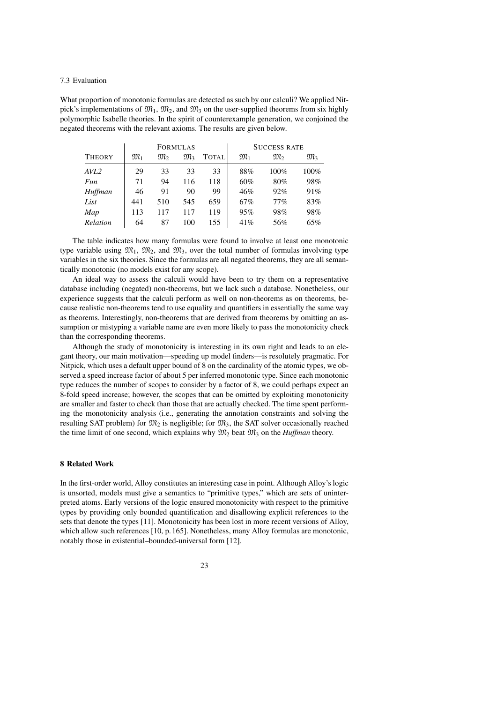# 7.3 Evaluation

What proportion of monotonic formulas are detected as such by our calculi? We applied Nitpick's implementations of  $\mathfrak{M}_1$ ,  $\mathfrak{M}_2$ , and  $\mathfrak{M}_3$  on the user-supplied theorems from six highly polymorphic Isabelle theories. In the spirit of counterexample generation, we conjoined the negated theorems with the relevant axioms. The results are given below.

|               | FORMULAS         |     |     | <b>SUCCESS RATE</b> |                  |                    |                  |
|---------------|------------------|-----|-----|---------------------|------------------|--------------------|------------------|
| <b>THEORY</b> | $\mathfrak{M}_1$ | Mə  | Ma  | TOTAL               | $\mathfrak{M}_1$ | $\mathfrak{M}_{2}$ | $\mathfrak{M}_3$ |
| AVL2          | 29               | 33  | 33  | 33                  | 88%              | $100\%$            | $100\%$          |
| Fun           | 71               | 94  | 116 | 118                 | 60%              | 80%                | 98%              |
| Huffman       | 46               | 91  | 90  | 99                  | 46%              | 92%                | 91%              |
| List          | 441              | 510 | 545 | 659                 | 67%              | 77%                | 83%              |
| Map           | 113              | 117 | 117 | 119                 | 95%              | 98%                | 98%              |
| Relation      | 64               | 87  | 100 | 155                 | 41%              | 56%                | 65%              |

The table indicates how many formulas were found to involve at least one monotonic type variable using  $\mathfrak{M}_1$ ,  $\mathfrak{M}_2$ , and  $\mathfrak{M}_3$ , over the total number of formulas involving type variables in the six theories. Since the formulas are all negated theorems, they are all semantically monotonic (no models exist for any scope).

An ideal way to assess the calculi would have been to try them on a representative database including (negated) non-theorems, but we lack such a database. Nonetheless, our experience suggests that the calculi perform as well on non-theorems as on theorems, because realistic non-theorems tend to use equality and quantifiers in essentially the same way as theorems. Interestingly, non-theorems that are derived from theorems by omitting an assumption or mistyping a variable name are even more likely to pass the monotonicity check than the corresponding theorems.

Although the study of monotonicity is interesting in its own right and leads to an elegant theory, our main motivation—speeding up model finders—is resolutely pragmatic. For Nitpick, which uses a default upper bound of 8 on the cardinality of the atomic types, we observed a speed increase factor of about 5 per inferred monotonic type. Since each monotonic type reduces the number of scopes to consider by a factor of 8, we could perhaps expect an 8-fold speed increase; however, the scopes that can be omitted by exploiting monotonicity are smaller and faster to check than those that are actually checked. The time spent performing the monotonicity analysis (i.e., generating the annotation constraints and solving the resulting SAT problem) for  $\mathfrak{M}_2$  is negligible; for  $\mathfrak{M}_3$ , the SAT solver occasionally reached the time limit of one second, which explains why  $\mathfrak{M}_2$  beat  $\mathfrak{M}_3$  on the *Huffman* theory.

# 8 Related Work

In the first-order world, Alloy constitutes an interesting case in point. Although Alloy's logic is unsorted, models must give a semantics to "primitive types," which are sets of uninterpreted atoms. Early versions of the logic ensured monotonicity with respect to the primitive types by providing only bounded quantification and disallowing explicit references to the sets that denote the types [11]. Monotonicity has been lost in more recent versions of Alloy, which allow such references [10, p. 165]. Nonetheless, many Alloy formulas are monotonic, notably those in existential–bounded-universal form [12].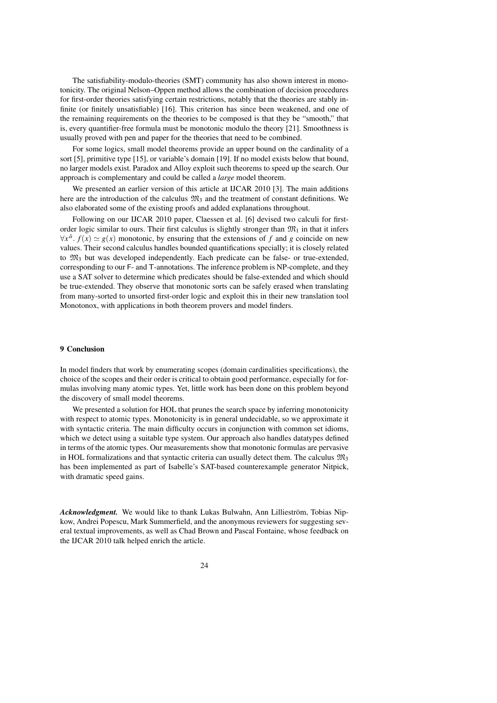The satisfiability-modulo-theories (SMT) community has also shown interest in monotonicity. The original Nelson–Oppen method allows the combination of decision procedures for first-order theories satisfying certain restrictions, notably that the theories are stably infinite (or finitely unsatisfiable) [16]. This criterion has since been weakened, and one of the remaining requirements on the theories to be composed is that they be "smooth," that is, every quantifier-free formula must be monotonic modulo the theory [21]. Smoothness is usually proved with pen and paper for the theories that need to be combined.

For some logics, small model theorems provide an upper bound on the cardinality of a sort [5], primitive type [15], or variable's domain [19]. If no model exists below that bound, no larger models exist. Paradox and Alloy exploit such theorems to speed up the search. Our approach is complementary and could be called a *large* model theorem.

We presented an earlier version of this article at IJCAR 2010 [3]. The main additions here are the introduction of the calculus  $\mathfrak{M}_3$  and the treatment of constant definitions. We also elaborated some of the existing proofs and added explanations throughout.

Following on our IJCAR 2010 paper, Claessen et al. [6] devised two calculi for firstorder logic similar to ours. Their first calculus is slightly stronger than  $\mathfrak{M}_1$  in that it infers  $\forall x^{\tilde{\alpha}}$ .  $f(x) \simeq g(x)$  monotonic, by ensuring that the extensions of *f* and *g* coincide on new<br>values. Their second calculus handles bounded quantifications specially: it is closely related values. Their second calculus handles bounded quantifications specially; it is closely related to  $\mathfrak{M}_3$  but was developed independently. Each predicate can be false- or true-extended, corresponding to our F- and T-annotations. The inference problem is NP-complete, and they use a SAT solver to determine which predicates should be false-extended and which should be true-extended. They observe that monotonic sorts can be safely erased when translating from many-sorted to unsorted first-order logic and exploit this in their new translation tool Monotonox, with applications in both theorem provers and model finders.

# 9 Conclusion

In model finders that work by enumerating scopes (domain cardinalities specifications), the choice of the scopes and their order is critical to obtain good performance, especially for formulas involving many atomic types. Yet, little work has been done on this problem beyond the discovery of small model theorems.

We presented a solution for HOL that prunes the search space by inferring monotonicity with respect to atomic types. Monotonicity is in general undecidable, so we approximate it with syntactic criteria. The main difficulty occurs in conjunction with common set idioms, which we detect using a suitable type system. Our approach also handles datatypes defined in terms of the atomic types. Our measurements show that monotonic formulas are pervasive in HOL formalizations and that syntactic criteria can usually detect them. The calculus  $\mathfrak{M}_3$ has been implemented as part of Isabelle's SAT-based counterexample generator Nitpick, with dramatic speed gains.

*Acknowledgment.* We would like to thank Lukas Bulwahn, Ann Lillieström, Tobias Nipkow, Andrei Popescu, Mark Summerfield, and the anonymous reviewers for suggesting several textual improvements, as well as Chad Brown and Pascal Fontaine, whose feedback on the IJCAR 2010 talk helped enrich the article.